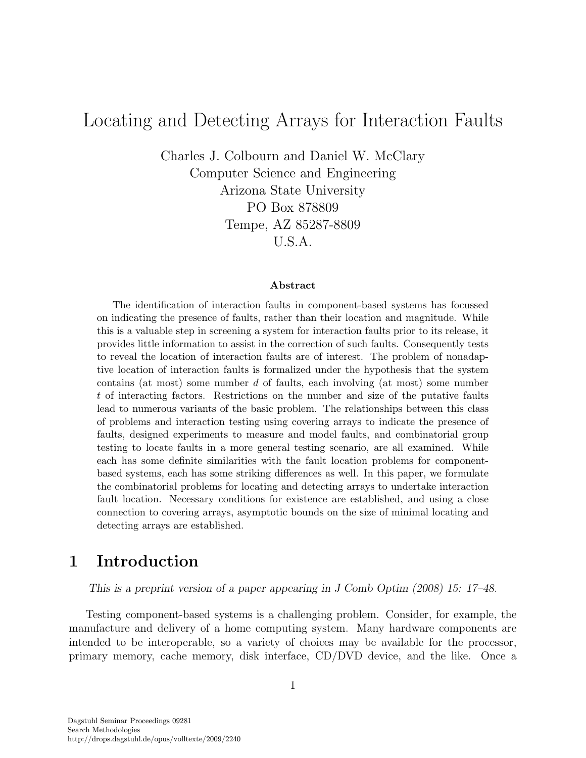# Locating and Detecting Arrays for Interaction Faults

Charles J. Colbourn and Daniel W. McClary

Computer Science and Engineering Arizona State University PO Box 878809 Tempe, AZ 85287-8809 U.S.A.

#### Abstract

The identification of interaction faults in component-based systems has focussed on indicating the presence of faults, rather than their location and magnitude. While this is a valuable step in screening a system for interaction faults prior to its release, it provides little information to assist in the correction of such faults. Consequently tests to reveal the location of interaction faults are of interest. The problem of nonadaptive location of interaction faults is formalized under the hypothesis that the system contains (at most) some number d of faults, each involving (at most) some number t of interacting factors. Restrictions on the number and size of the putative faults lead to numerous variants of the basic problem. The relationships between this class of problems and interaction testing using covering arrays to indicate the presence of faults, designed experiments to measure and model faults, and combinatorial group testing to locate faults in a more general testing scenario, are all examined. While each has some definite similarities with the fault location problems for componentbased systems, each has some striking differences as well. In this paper, we formulate the combinatorial problems for locating and detecting arrays to undertake interaction fault location. Necessary conditions for existence are established, and using a close connection to covering arrays, asymptotic bounds on the size of minimal locating and detecting arrays are established.

# 1 Introduction

This is a preprint version of a paper appearing in J Comb Optim (2008) 15: 17–48.

Testing component-based systems is a challenging problem. Consider, for example, the manufacture and delivery of a home computing system. Many hardware components are intended to be interoperable, so a variety of choices may be available for the processor, primary memory, cache memory, disk interface, CD/DVD device, and the like. Once a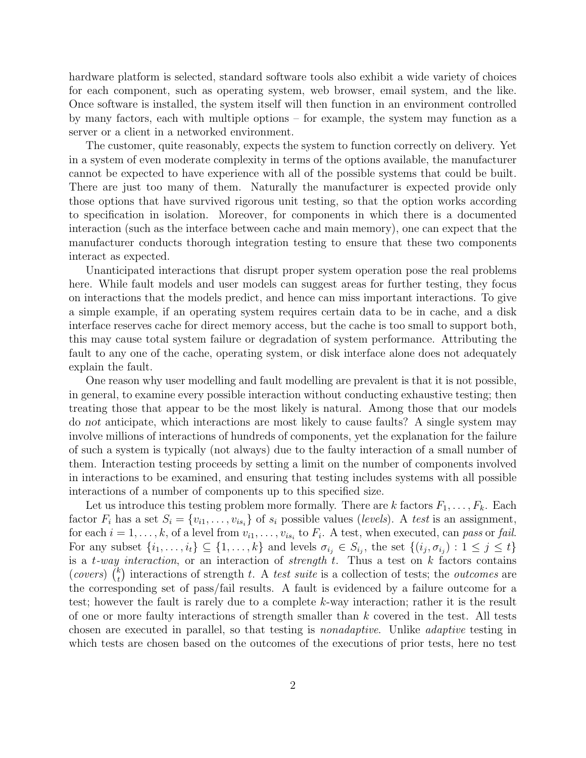hardware platform is selected, standard software tools also exhibit a wide variety of choices for each component, such as operating system, web browser, email system, and the like. Once software is installed, the system itself will then function in an environment controlled by many factors, each with multiple options – for example, the system may function as a server or a client in a networked environment.

The customer, quite reasonably, expects the system to function correctly on delivery. Yet in a system of even moderate complexity in terms of the options available, the manufacturer cannot be expected to have experience with all of the possible systems that could be built. There are just too many of them. Naturally the manufacturer is expected provide only those options that have survived rigorous unit testing, so that the option works according to specification in isolation. Moreover, for components in which there is a documented interaction (such as the interface between cache and main memory), one can expect that the manufacturer conducts thorough integration testing to ensure that these two components interact as expected.

Unanticipated interactions that disrupt proper system operation pose the real problems here. While fault models and user models can suggest areas for further testing, they focus on interactions that the models predict, and hence can miss important interactions. To give a simple example, if an operating system requires certain data to be in cache, and a disk interface reserves cache for direct memory access, but the cache is too small to support both, this may cause total system failure or degradation of system performance. Attributing the fault to any one of the cache, operating system, or disk interface alone does not adequately explain the fault.

One reason why user modelling and fault modelling are prevalent is that it is not possible, in general, to examine every possible interaction without conducting exhaustive testing; then treating those that appear to be the most likely is natural. Among those that our models do not anticipate, which interactions are most likely to cause faults? A single system may involve millions of interactions of hundreds of components, yet the explanation for the failure of such a system is typically (not always) due to the faulty interaction of a small number of them. Interaction testing proceeds by setting a limit on the number of components involved in interactions to be examined, and ensuring that testing includes systems with all possible interactions of a number of components up to this specified size.

Let us introduce this testing problem more formally. There are k factors  $F_1, \ldots, F_k$ . Each factor  $F_i$  has a set  $S_i = \{v_{i1}, \ldots, v_{is_i}\}\$  of  $s_i$  possible values (levels). A test is an assignment, for each  $i = 1, \ldots, k$ , of a level from  $v_{i1}, \ldots, v_{is_i}$  to  $F_i$ . A test, when executed, can pass or fail. For any subset  $\{i_1,\ldots,i_t\} \subseteq \{1,\ldots,k\}$  and levels  $\sigma_{i_j} \in S_{i_j}$ , the set  $\{(i_j,\sigma_{i_j}) : 1 \leq j \leq t\}$ is a t-way interaction, or an interaction of strength t. Thus a test on  $k$  factors contains  $(covers) \binom{k}{t}$  $_t^k$ ) interactions of strength t. A test suite is a collection of tests; the *outcomes* are the corresponding set of pass/fail results. A fault is evidenced by a failure outcome for a test; however the fault is rarely due to a complete k-way interaction; rather it is the result of one or more faulty interactions of strength smaller than  $k$  covered in the test. All tests chosen are executed in parallel, so that testing is nonadaptive. Unlike adaptive testing in which tests are chosen based on the outcomes of the executions of prior tests, here no test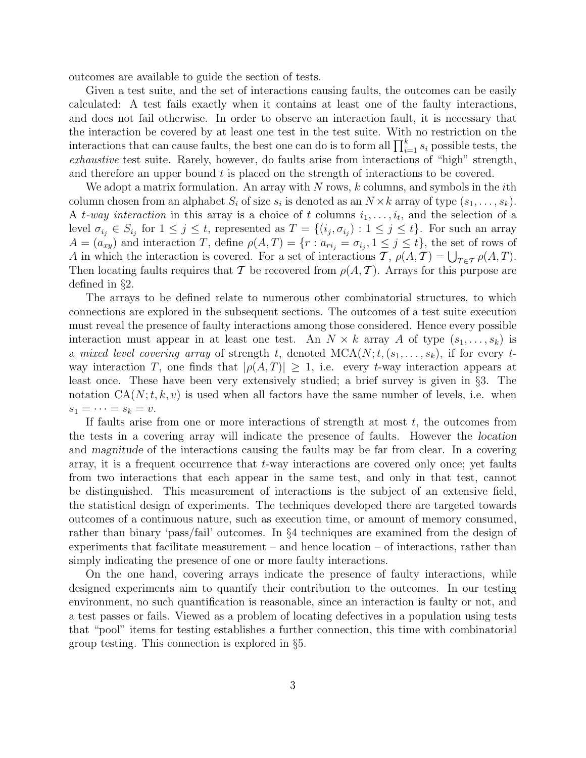outcomes are available to guide the section of tests.

Given a test suite, and the set of interactions causing faults, the outcomes can be easily calculated: A test fails exactly when it contains at least one of the faulty interactions, and does not fail otherwise. In order to observe an interaction fault, it is necessary that the interaction be covered by at least one test in the test suite. With no restriction on the interactions that can cause faults, the best one can do is to form all  $\prod_{i=1}^{k} s_i$  possible tests, the exhaustive test suite. Rarely, however, do faults arise from interactions of "high" strength, and therefore an upper bound  $t$  is placed on the strength of interactions to be covered.

We adopt a matrix formulation. An array with N rows, k columns, and symbols in the *i*th column chosen from an alphabet  $S_i$  of size  $s_i$  is denoted as an  $N \times k$  array of type  $(s_1, \ldots, s_k)$ . A *t*-way interaction in this array is a choice of t columns  $i_1, \ldots, i_t$ , and the selection of a level  $\sigma_{i_j} \in S_{i_j}$  for  $1 \leq j \leq t$ , represented as  $T = \{(i_j, \sigma_{i_j}) : 1 \leq j \leq t\}$ . For such an array  $A = (a_{xy})$  and interaction T, define  $\rho(A, T) = \{r : a_{ri_j} = \sigma_{i_j}, 1 \le j \le t\}$ , the set of rows of A in which the interaction is covered. For a set of interactions T,  $\rho(A, T) = \bigcup_{T \in \mathcal{T}} \rho(A, T)$ . Then locating faults requires that T be recovered from  $\rho(A, \mathcal{T})$ . Arrays for this purpose are defined in §2.

The arrays to be defined relate to numerous other combinatorial structures, to which connections are explored in the subsequent sections. The outcomes of a test suite execution must reveal the presence of faulty interactions among those considered. Hence every possible interaction must appear in at least one test. An  $N \times k$  array A of type  $(s_1, \ldots, s_k)$  is a mixed level covering array of strength t, denoted  $MCA(N; t, (s_1, \ldots, s_k))$ , if for every tway interaction T, one finds that  $|\rho(A, T)| \geq 1$ , i.e. every t-way interaction appears at least once. These have been very extensively studied; a brief survey is given in §3. The notation  $CA(N; t, k, v)$  is used when all factors have the same number of levels, i.e. when  $s_1 = \cdots = s_k = v.$ 

If faults arise from one or more interactions of strength at most  $t$ , the outcomes from the tests in a covering array will indicate the presence of faults. However the location and magnitude of the interactions causing the faults may be far from clear. In a covering array, it is a frequent occurrence that  $t$ -way interactions are covered only once; yet faults from two interactions that each appear in the same test, and only in that test, cannot be distinguished. This measurement of interactions is the subject of an extensive field, the statistical design of experiments. The techniques developed there are targeted towards outcomes of a continuous nature, such as execution time, or amount of memory consumed, rather than binary 'pass/fail' outcomes. In §4 techniques are examined from the design of experiments that facilitate measurement – and hence location – of interactions, rather than simply indicating the presence of one or more faulty interactions.

On the one hand, covering arrays indicate the presence of faulty interactions, while designed experiments aim to quantify their contribution to the outcomes. In our testing environment, no such quantification is reasonable, since an interaction is faulty or not, and a test passes or fails. Viewed as a problem of locating defectives in a population using tests that "pool" items for testing establishes a further connection, this time with combinatorial group testing. This connection is explored in §5.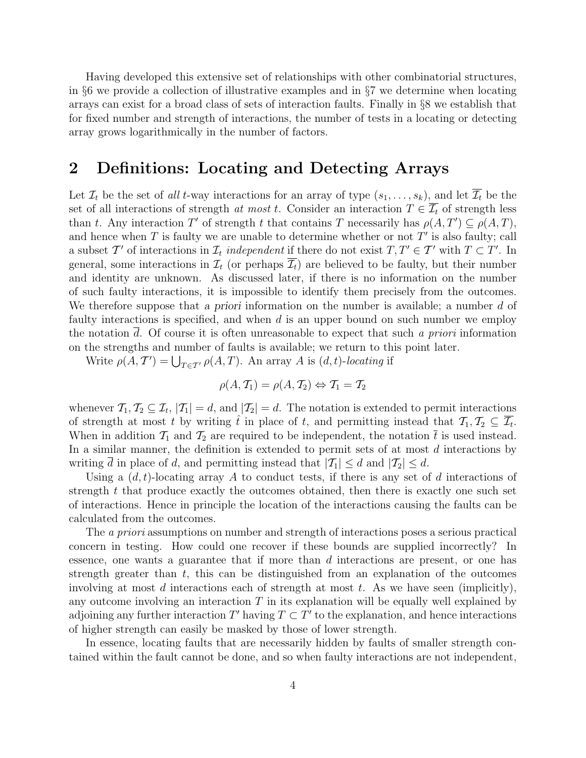Having developed this extensive set of relationships with other combinatorial structures, in §6 we provide a collection of illustrative examples and in §7 we determine when locating arrays can exist for a broad class of sets of interaction faults. Finally in §8 we establish that for fixed number and strength of interactions, the number of tests in a locating or detecting array grows logarithmically in the number of factors.

## 2 Definitions: Locating and Detecting Arrays

Let  $\mathcal{I}_t$  be the set of all t-way interactions for an array of type  $(s_1, \ldots, s_k)$ , and let  $\overline{\mathcal{I}_t}$  be the set of all interactions of strength at most t. Consider an interaction  $T \in \overline{\mathcal{I}_t}$  of strength less than t. Any interaction T' of strength t that contains T necessarily has  $\rho(A,T') \subseteq \rho(A,T)$ , and hence when  $T$  is faulty we are unable to determine whether or not  $T'$  is also faulty; call a subset  $\mathcal{T}'$  of interactions in  $\mathcal{I}_t$  independent if there do not exist  $T, T' \in \mathcal{T}'$  with  $T \subset T'$ . In general, some interactions in  $\mathcal{I}_t$  (or perhaps  $\overline{\mathcal{I}_t}$ ) are believed to be faulty, but their number and identity are unknown. As discussed later, if there is no information on the number of such faulty interactions, it is impossible to identify them precisely from the outcomes. We therefore suppose that a priori information on the number is available; a number  $d$  of faulty interactions is specified, and when  $d$  is an upper bound on such number we employ the notation  $\overline{d}$ . Of course it is often unreasonable to expect that such a priori information on the strengths and number of faults is available; we return to this point later.

Write  $\rho(A, \mathcal{T}') = \bigcup_{T \in \mathcal{T}'} \rho(A, T)$ . An array A is  $(d, t)$ -locating if

$$
\rho(A, \mathcal{T}_1) = \rho(A, \mathcal{T}_2) \Leftrightarrow \mathcal{T}_1 = \mathcal{T}_2
$$

whenever  $\mathcal{T}_1, \mathcal{T}_2 \subseteq \mathcal{I}_t, |\mathcal{T}_1| = d$ , and  $|\mathcal{T}_2| = d$ . The notation is extended to permit interactions of strength at most t by writing  $\hat{t}$  in place of t, and permitting instead that  $\mathcal{T}_1, \mathcal{T}_2 \subseteq \overline{\mathcal{I}_t}$ . When in addition  $\mathcal{T}_1$  and  $\mathcal{T}_2$  are required to be independent, the notation  $\bar{t}$  is used instead. In a similar manner, the definition is extended to permit sets of at most d interactions by writing  $\overline{d}$  in place of d, and permitting instead that  $|\mathcal{T}_1| \leq d$  and  $|\mathcal{T}_2| \leq d$ .

Using a  $(d, t)$ -locating array A to conduct tests, if there is any set of d interactions of strength t that produce exactly the outcomes obtained, then there is exactly one such set of interactions. Hence in principle the location of the interactions causing the faults can be calculated from the outcomes.

The *a priori* assumptions on number and strength of interactions poses a serious practical concern in testing. How could one recover if these bounds are supplied incorrectly? In essence, one wants a guarantee that if more than d interactions are present, or one has strength greater than  $t$ , this can be distinguished from an explanation of the outcomes involving at most d interactions each of strength at most  $t$ . As we have seen (implicitly), any outcome involving an interaction  $T$  in its explanation will be equally well explained by adjoining any further interaction T' having  $T \subset T'$  to the explanation, and hence interactions of higher strength can easily be masked by those of lower strength.

In essence, locating faults that are necessarily hidden by faults of smaller strength contained within the fault cannot be done, and so when faulty interactions are not independent,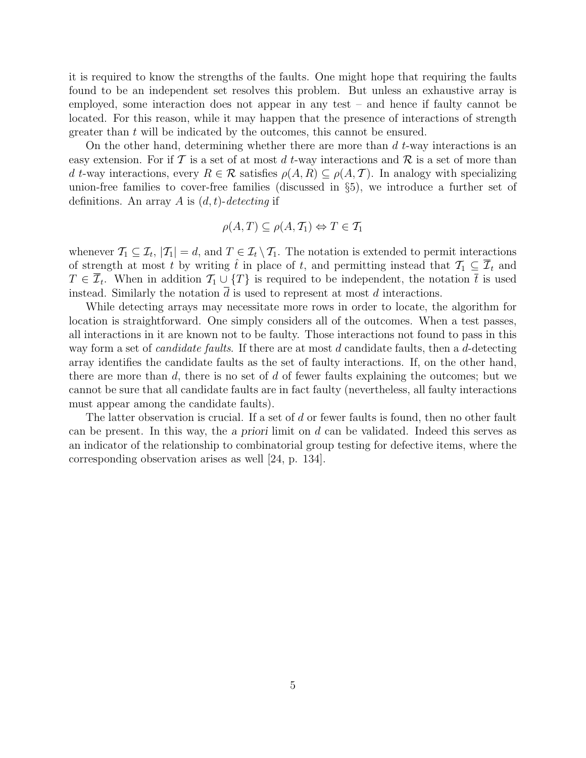it is required to know the strengths of the faults. One might hope that requiring the faults found to be an independent set resolves this problem. But unless an exhaustive array is employed, some interaction does not appear in any test – and hence if faulty cannot be located. For this reason, while it may happen that the presence of interactions of strength greater than t will be indicated by the outcomes, this cannot be ensured.

On the other hand, determining whether there are more than  $d$  t-way interactions is an easy extension. For if T is a set of at most d t-way interactions and R is a set of more than d t-way interactions, every  $R \in \mathcal{R}$  satisfies  $\rho(A, R) \subseteq \rho(A, \mathcal{T})$ . In analogy with specializing union-free families to cover-free families (discussed in  $\S5$ ), we introduce a further set of definitions. An array A is  $(d, t)$ -detecting if

$$
\rho(A, T) \subseteq \rho(A, \mathcal{T}_1) \Leftrightarrow T \in \mathcal{T}_1
$$

whenever  $\mathcal{T}_1 \subseteq \mathcal{I}_t$ ,  $|\mathcal{T}_1| = d$ , and  $T \in \mathcal{I}_t \setminus \mathcal{T}_1$ . The notation is extended to permit interactions of strength at most t by writing  $\hat{t}$  in place of t, and permitting instead that  $\mathcal{T}_1 \subseteq \overline{\mathcal{I}}_t$  and  $T \in \mathcal{I}_t$ . When in addition  $\mathcal{T}_1 \cup \{T\}$  is required to be independent, the notation  $\overline{t}$  is used instead. Similarly the notation  $\overline{d}$  is used to represent at most d interactions.

While detecting arrays may necessitate more rows in order to locate, the algorithm for location is straightforward. One simply considers all of the outcomes. When a test passes, all interactions in it are known not to be faulty. Those interactions not found to pass in this way form a set of *candidate faults*. If there are at most  $d$  candidate faults, then a  $d$ -detecting array identifies the candidate faults as the set of faulty interactions. If, on the other hand, there are more than  $d$ , there is no set of  $d$  of fewer faults explaining the outcomes; but we cannot be sure that all candidate faults are in fact faulty (nevertheless, all faulty interactions must appear among the candidate faults).

The latter observation is crucial. If a set of d or fewer faults is found, then no other fault can be present. In this way, the a priori limit on  $d$  can be validated. Indeed this serves as an indicator of the relationship to combinatorial group testing for defective items, where the corresponding observation arises as well [24, p. 134].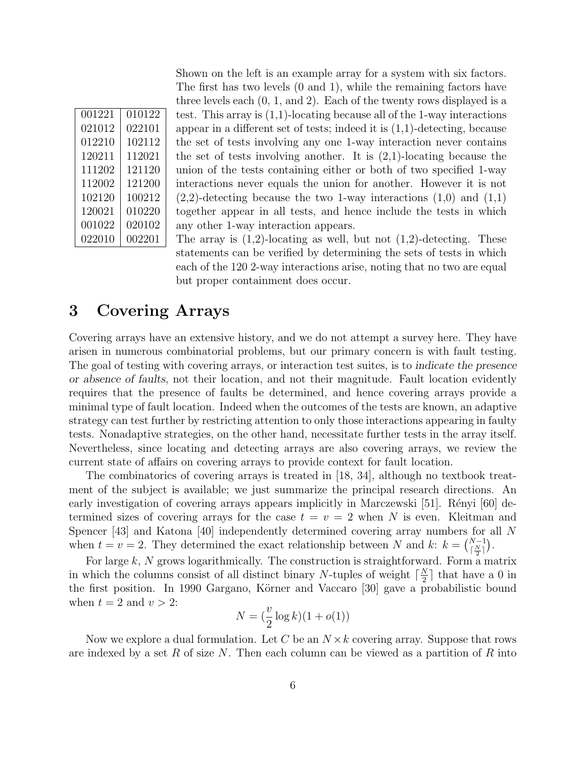| 001221 | 010122 |
|--------|--------|
| 021012 | 022101 |
| 012210 | 102112 |
| 120211 | 112021 |
| 111202 | 121120 |
| 112002 | 121200 |
| 102120 | 100212 |
| 120021 | 010220 |
| 001022 | 020102 |
| 022010 | 002201 |

Shown on the left is an example array for a system with six factors. The first has two levels (0 and 1), while the remaining factors have three levels each (0, 1, and 2). Each of the twenty rows displayed is a test. This array is (1,1)-locating because all of the 1-way interactions appear in a different set of tests; indeed it is (1,1)-detecting, because the set of tests involving any one 1-way interaction never contains the set of tests involving another. It is  $(2,1)$ -locating because the union of the tests containing either or both of two specified 1-way interactions never equals the union for another. However it is not  $(2,2)$ -detecting because the two 1-way interactions  $(1,0)$  and  $(1,1)$ together appear in all tests, and hence include the tests in which any other 1-way interaction appears.

The array is  $(1,2)$ -locating as well, but not  $(1,2)$ -detecting. These statements can be verified by determining the sets of tests in which each of the 120 2-way interactions arise, noting that no two are equal but proper containment does occur.

# 3 Covering Arrays

Covering arrays have an extensive history, and we do not attempt a survey here. They have arisen in numerous combinatorial problems, but our primary concern is with fault testing. The goal of testing with covering arrays, or interaction test suites, is to indicate the presence or absence of faults, not their location, and not their magnitude. Fault location evidently requires that the presence of faults be determined, and hence covering arrays provide a minimal type of fault location. Indeed when the outcomes of the tests are known, an adaptive strategy can test further by restricting attention to only those interactions appearing in faulty tests. Nonadaptive strategies, on the other hand, necessitate further tests in the array itself. Nevertheless, since locating and detecting arrays are also covering arrays, we review the current state of affairs on covering arrays to provide context for fault location.

The combinatorics of covering arrays is treated in [18, 34], although no textbook treatment of the subject is available; we just summarize the principal research directions. An early investigation of covering arrays appears implicitly in Marczewski  $[51]$ . Rényi  $[60]$  determined sizes of covering arrays for the case  $t = v = 2$  when N is even. Kleitman and Spencer [43] and Katona [40] independently determined covering array numbers for all N when  $t = v = 2$ . They determined the exact relationship between N and k:  $k = \binom{N-1}{\lceil \frac{N}{2} \rceil}$ .

For large  $k$ ,  $N$  grows logarithmically. The construction is straightforward. Form a matrix in which the columns consist of all distinct binary N-tuples of weight  $\lceil \frac{N}{2} \rceil$  $\frac{N}{2}$  that have a 0 in the first position. In 1990 Gargano, Körner and Vaccaro [30] gave a probabilistic bound when  $t = 2$  and  $v > 2$ :

$$
N = \left(\frac{v}{2}\log k\right)\left(1 + o(1)\right)
$$

Now we explore a dual formulation. Let C be an  $N \times k$  covering array. Suppose that rows are indexed by a set R of size N. Then each column can be viewed as a partition of R into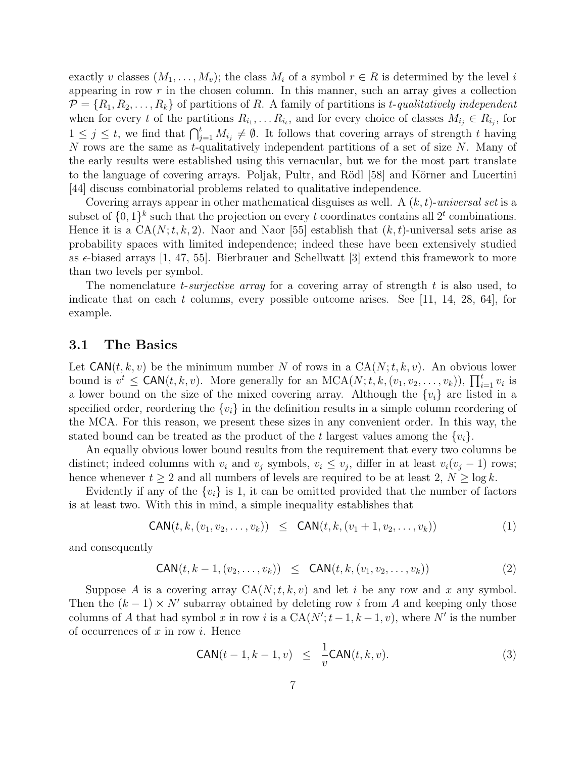exactly v classes  $(M_1, \ldots, M_v)$ ; the class  $M_i$  of a symbol  $r \in R$  is determined by the level i appearing in row  $r$  in the chosen column. In this manner, such an array gives a collection  $\mathcal{P} = \{R_1, R_2, \ldots, R_k\}$  of partitions of R. A family of partitions is *t*-qualitatively independent when for every t of the partitions  $R_{i_1}, \ldots, R_{i_t}$ , and for every choice of classes  $M_{i_j} \in R_{i_j}$ , for  $1 \leq j \leq t$ , we find that  $\bigcap_{j=1}^t M_{i_j} \neq \emptyset$ . It follows that covering arrays of strength t having  $N$  rows are the same as t-qualitatively independent partitions of a set of size  $N$ . Many of the early results were established using this vernacular, but we for the most part translate to the language of covering arrays. Poljak, Pultr, and Rödl [58] and Körner and Lucertini [44] discuss combinatorial problems related to qualitative independence.

Covering arrays appear in other mathematical disguises as well. A  $(k, t)$ -universal set is a subset of  $\{0,1\}^k$  such that the projection on every t coordinates contains all  $2^t$  combinations. Hence it is a  $CA(N; t, k, 2)$ . Naor and Naor [55] establish that  $(k, t)$ -universal sets arise as probability spaces with limited independence; indeed these have been extensively studied as  $\epsilon$ -biased arrays [1, 47, 55]. Bierbrauer and Schellwatt [3] extend this framework to more than two levels per symbol.

The nomenclature *t-surjective array* for a covering array of strength  $t$  is also used, to indicate that on each t columns, every possible outcome arises. See  $[11, 14, 28, 64]$ , for example.

#### 3.1 The Basics

Let  $\textsf{CAN}(t, k, v)$  be the minimum number N of rows in a  $\text{CA}(N; t, k, v)$ . An obvious lower bound is  $v^t \leq \text{CAN}(t, k, v)$ . More generally for an  $MCA(N; t, k, (v_1, v_2, \ldots, v_k)), \prod_{i=1}^t v_i$  is a lower bound on the size of the mixed covering array. Although the  $\{v_i\}$  are listed in a specified order, reordering the  $\{v_i\}$  in the definition results in a simple column reordering of the MCA. For this reason, we present these sizes in any convenient order. In this way, the stated bound can be treated as the product of the t largest values among the  $\{v_i\}$ .

An equally obvious lower bound results from the requirement that every two columns be distinct; indeed columns with  $v_i$  and  $v_j$  symbols,  $v_i \leq v_j$ , differ in at least  $v_i(v_j - 1)$  rows; hence whenever  $t \geq 2$  and all numbers of levels are required to be at least  $2, N \geq \log k$ .

Evidently if any of the  $\{v_i\}$  is 1, it can be omitted provided that the number of factors is at least two. With this in mind, a simple inequality establishes that

$$
CAN(t, k, (v_1, v_2, \dots, v_k)) \leq CAN(t, k, (v_1 + 1, v_2, \dots, v_k))
$$
\n(1)

and consequently

$$
CAN(t, k - 1, (v_2, \dots, v_k)) \leq CAN(t, k, (v_1, v_2, \dots, v_k))
$$
\n(2)

Suppose A is a covering array  $CA(N; t, k, v)$  and let i be any row and x any symbol. Then the  $(k-1) \times N'$  subarray obtained by deleting row i from A and keeping only those columns of A that had symbol x in row i is a  $CA(N'; t-1, k-1, v)$ , where N' is the number of occurrences of  $x$  in row  $i$ . Hence

$$
CAN(t-1, k-1, v) \leq \frac{1}{v} CAN(t, k, v). \tag{3}
$$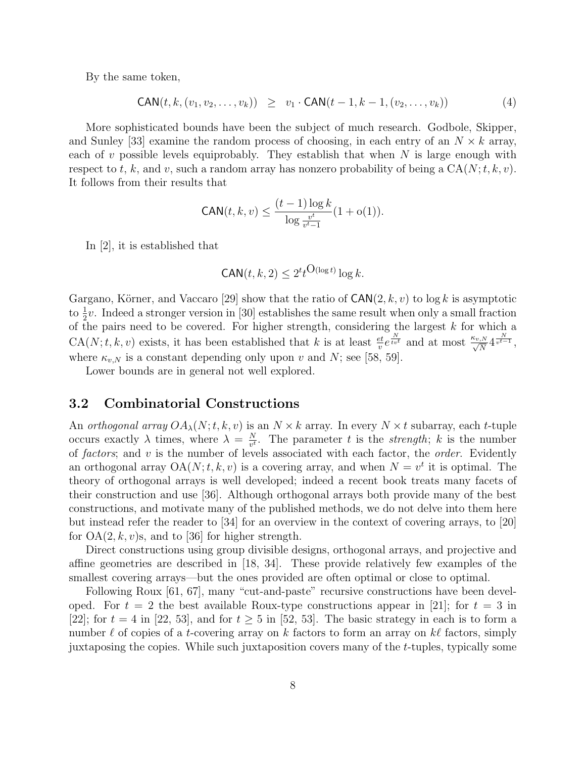By the same token,

$$
CAN(t, k, (v_1, v_2, \dots, v_k)) \geq v_1 \cdot CAN(t - 1, k - 1, (v_2, \dots, v_k))
$$
\n(4)

More sophisticated bounds have been the subject of much research. Godbole, Skipper, and Sunley [33] examine the random process of choosing, in each entry of an  $N \times k$  array, each of v possible levels equiprobably. They establish that when  $N$  is large enough with respect to t, k, and v, such a random array has nonzero probability of being a  $CA(N; t, k, v)$ . It follows from their results that

$$
CAN(t, k, v) \le \frac{(t-1)\log k}{\log \frac{v^t}{v^t - 1}} (1 + o(1)).
$$

In [2], it is established that

$$
\mathsf{CAN}(t,k,2) \le 2^t t^{\mathcal{O}(\log t)} \log k.
$$

Gargano, Körner, and Vaccaro [29] show that the ratio of  $CAN(2, k, v)$  to log k is asymptotic to  $\frac{1}{2}v$ . Indeed a stronger version in [30] establishes the same result when only a small fraction of the pairs need to be covered. For higher strength, considering the largest  $k$  for which a  $CA(N; t, k, v)$  exists, it has been established that k is at least  $\frac{et}{v}e^{\frac{N}{tv}t}$  and at most  $\frac{\kappa_{v,N}}{\sqrt{N}}$  $\frac{N}{N}4^{\frac{N}{v^{t-1}}},$ where  $\kappa_{v,N}$  is a constant depending only upon v and N; see [58, 59].

Lower bounds are in general not well explored.

### 3.2 Combinatorial Constructions

An orthogonal array  $OA_{\lambda}(N; t, k, v)$  is an  $N \times k$  array. In every  $N \times t$  subarray, each t-tuple occurs exactly  $\lambda$  times, where  $\lambda = \frac{N}{n^2}$  $\frac{N}{v^t}$ . The parameter t is the *strength*; k is the number of factors; and  $v$  is the number of levels associated with each factor, the *order*. Evidently an orthogonal array  $OA(N; t, k, v)$  is a covering array, and when  $N = v<sup>t</sup>$  it is optimal. The theory of orthogonal arrays is well developed; indeed a recent book treats many facets of their construction and use [36]. Although orthogonal arrays both provide many of the best constructions, and motivate many of the published methods, we do not delve into them here but instead refer the reader to [34] for an overview in the context of covering arrays, to [20] for  $OA(2, k, v)$ s, and to [36] for higher strength.

Direct constructions using group divisible designs, orthogonal arrays, and projective and affine geometries are described in [18, 34]. These provide relatively few examples of the smallest covering arrays—but the ones provided are often optimal or close to optimal.

Following Roux [61, 67], many "cut-and-paste" recursive constructions have been developed. For  $t = 2$  the best available Roux-type constructions appear in [21]; for  $t = 3$  in [22]; for  $t = 4$  in [22, 53], and for  $t \geq 5$  in [52, 53]. The basic strategy in each is to form a number  $\ell$  of copies of a t-covering array on k factors to form an array on k $\ell$  factors, simply juxtaposing the copies. While such juxtaposition covers many of the t-tuples, typically some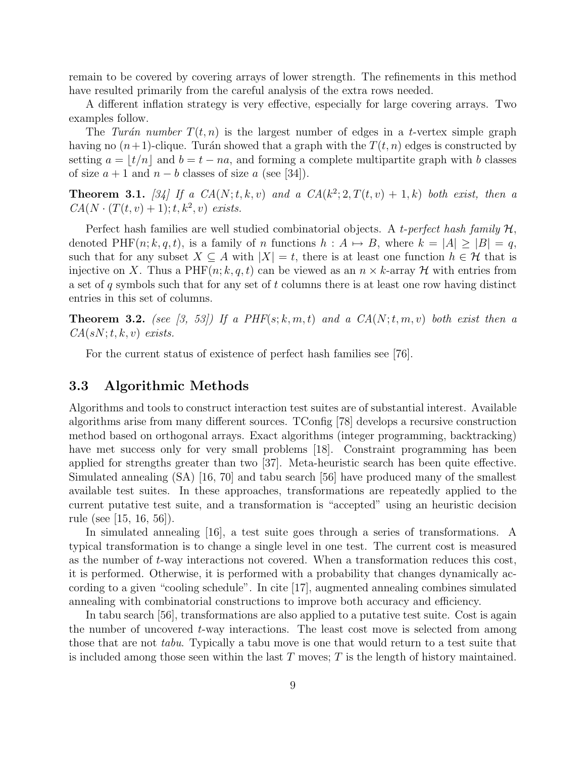remain to be covered by covering arrays of lower strength. The refinements in this method have resulted primarily from the careful analysis of the extra rows needed.

A different inflation strategy is very effective, especially for large covering arrays. Two examples follow.

The Turán number  $T(t, n)$  is the largest number of edges in a t-vertex simple graph having no  $(n+1)$ -clique. Turán showed that a graph with the  $T(t, n)$  edges is constructed by setting  $a = |t/n|$  and  $b = t - na$ , and forming a complete multipartite graph with b classes of size  $a + 1$  and  $n - b$  classes of size a (see [34]).

**Theorem 3.1.** [34] If a  $CA(N; t, k, v)$  and a  $CA(k^2; 2, T(t, v) + 1, k)$  both exist, then a  $CA(N \cdot (T(t, v) + 1); t, k^2, v)$  exists.

Perfect hash families are well studied combinatorial objects. A t-perfect hash family  $\mathcal{H}$ , denoted  $\text{PHF}(n; k, q, t)$ , is a family of n functions  $h : A \mapsto B$ , where  $k = |A| \ge |B| = q$ , such that for any subset  $X \subseteq A$  with  $|X| = t$ , there is at least one function  $h \in \mathcal{H}$  that is injective on X. Thus a  $\text{PHF}(n; k, q, t)$  can be viewed as an  $n \times k$ -array H with entries from a set of q symbols such that for any set of t columns there is at least one row having distinct entries in this set of columns.

**Theorem 3.2.** (see [3, 53]) If a PHF(s; k, m, t) and a  $CA(N; t, m, v)$  both exist then a  $CA(sN; t, k, v)$  exists.

For the current status of existence of perfect hash families see [76].

### 3.3 Algorithmic Methods

Algorithms and tools to construct interaction test suites are of substantial interest. Available algorithms arise from many different sources. TConfig [78] develops a recursive construction method based on orthogonal arrays. Exact algorithms (integer programming, backtracking) have met success only for very small problems [18]. Constraint programming has been applied for strengths greater than two [37]. Meta-heuristic search has been quite effective. Simulated annealing (SA) [16, 70] and tabu search [56] have produced many of the smallest available test suites. In these approaches, transformations are repeatedly applied to the current putative test suite, and a transformation is "accepted" using an heuristic decision rule (see [15, 16, 56]).

In simulated annealing [16], a test suite goes through a series of transformations. A typical transformation is to change a single level in one test. The current cost is measured as the number of t-way interactions not covered. When a transformation reduces this cost, it is performed. Otherwise, it is performed with a probability that changes dynamically according to a given "cooling schedule". In cite [17], augmented annealing combines simulated annealing with combinatorial constructions to improve both accuracy and efficiency.

In tabu search [56], transformations are also applied to a putative test suite. Cost is again the number of uncovered t-way interactions. The least cost move is selected from among those that are not tabu. Typically a tabu move is one that would return to a test suite that is included among those seen within the last  $T$  moves;  $T$  is the length of history maintained.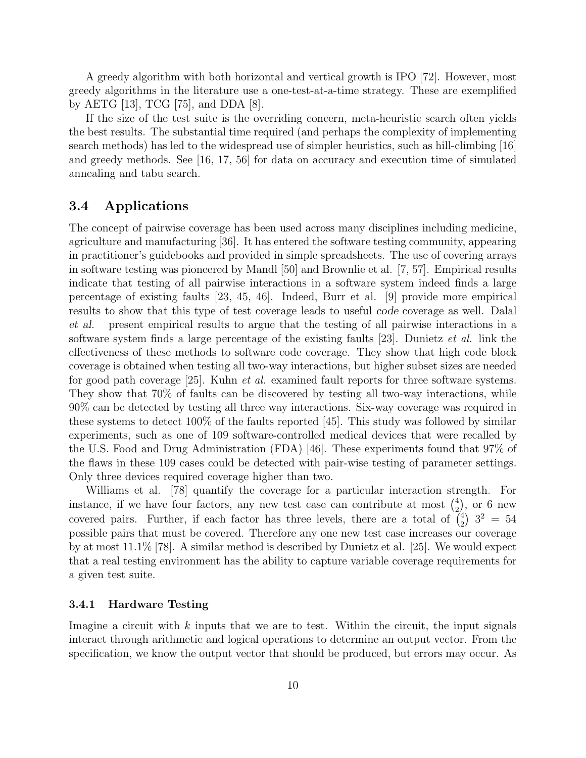A greedy algorithm with both horizontal and vertical growth is IPO [72]. However, most greedy algorithms in the literature use a one-test-at-a-time strategy. These are exemplified by AETG [13], TCG [75], and DDA [8].

If the size of the test suite is the overriding concern, meta-heuristic search often yields the best results. The substantial time required (and perhaps the complexity of implementing search methods) has led to the widespread use of simpler heuristics, such as hill-climbing  $|16|$ and greedy methods. See [16, 17, 56] for data on accuracy and execution time of simulated annealing and tabu search.

### 3.4 Applications

The concept of pairwise coverage has been used across many disciplines including medicine, agriculture and manufacturing [36]. It has entered the software testing community, appearing in practitioner's guidebooks and provided in simple spreadsheets. The use of covering arrays in software testing was pioneered by Mandl [50] and Brownlie et al. [7, 57]. Empirical results indicate that testing of all pairwise interactions in a software system indeed finds a large percentage of existing faults [23, 45, 46]. Indeed, Burr et al. [9] provide more empirical results to show that this type of test coverage leads to useful code coverage as well. Dalal et al. present empirical results to argue that the testing of all pairwise interactions in a software system finds a large percentage of the existing faults [23]. Dunietz et al. link the effectiveness of these methods to software code coverage. They show that high code block coverage is obtained when testing all two-way interactions, but higher subset sizes are needed for good path coverage [25]. Kuhn et al. examined fault reports for three software systems. They show that 70% of faults can be discovered by testing all two-way interactions, while 90% can be detected by testing all three way interactions. Six-way coverage was required in these systems to detect 100% of the faults reported [45]. This study was followed by similar experiments, such as one of 109 software-controlled medical devices that were recalled by the U.S. Food and Drug Administration (FDA) [46]. These experiments found that 97% of the flaws in these 109 cases could be detected with pair-wise testing of parameter settings. Only three devices required coverage higher than two.

Williams et al. [78] quantify the coverage for a particular interaction strength. For instance, if we have four factors, any new test case can contribute at most  $\binom{4}{3}$  $\binom{4}{2}$ , or 6 new covered pairs. Further, if each factor has three levels, there are a total of  $\begin{bmatrix} 4 \\ 2 \end{bmatrix}$  $_2^4$  3<sup>2</sup> = 54 possible pairs that must be covered. Therefore any one new test case increases our coverage by at most 11.1% [78]. A similar method is described by Dunietz et al. [25]. We would expect that a real testing environment has the ability to capture variable coverage requirements for a given test suite.

#### 3.4.1 Hardware Testing

Imagine a circuit with  $k$  inputs that we are to test. Within the circuit, the input signals interact through arithmetic and logical operations to determine an output vector. From the specification, we know the output vector that should be produced, but errors may occur. As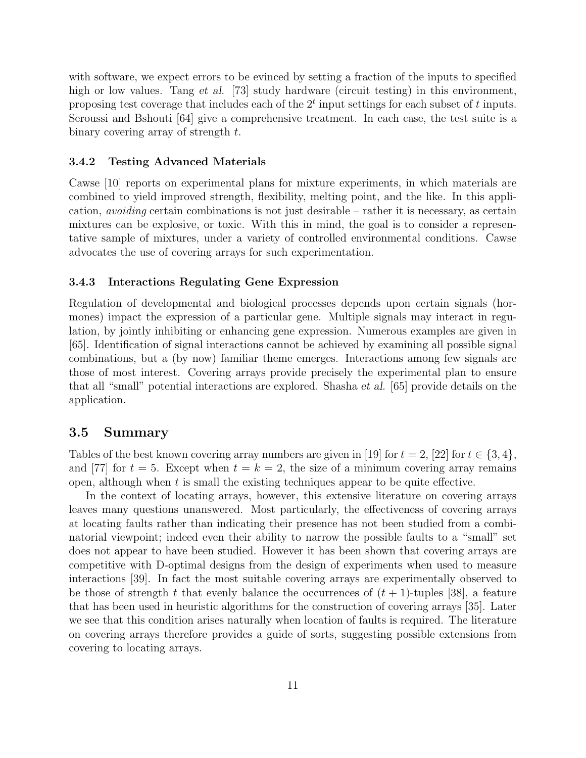with software, we expect errors to be evinced by setting a fraction of the inputs to specified high or low values. Tang et al. [73] study hardware (circuit testing) in this environment, proposing test coverage that includes each of the  $2<sup>t</sup>$  input settings for each subset of t inputs. Seroussi and Bshouti [64] give a comprehensive treatment. In each case, the test suite is a binary covering array of strength t.

#### 3.4.2 Testing Advanced Materials

Cawse [10] reports on experimental plans for mixture experiments, in which materials are combined to yield improved strength, flexibility, melting point, and the like. In this application, avoiding certain combinations is not just desirable – rather it is necessary, as certain mixtures can be explosive, or toxic. With this in mind, the goal is to consider a representative sample of mixtures, under a variety of controlled environmental conditions. Cawse advocates the use of covering arrays for such experimentation.

#### 3.4.3 Interactions Regulating Gene Expression

Regulation of developmental and biological processes depends upon certain signals (hormones) impact the expression of a particular gene. Multiple signals may interact in regulation, by jointly inhibiting or enhancing gene expression. Numerous examples are given in [65]. Identification of signal interactions cannot be achieved by examining all possible signal combinations, but a (by now) familiar theme emerges. Interactions among few signals are those of most interest. Covering arrays provide precisely the experimental plan to ensure that all "small" potential interactions are explored. Shasha et al. [65] provide details on the application.

#### 3.5 Summary

Tables of the best known covering array numbers are given in [19] for  $t = 2$ , [22] for  $t \in \{3, 4\}$ , and [77] for  $t = 5$ . Except when  $t = k = 2$ , the size of a minimum covering array remains open, although when t is small the existing techniques appear to be quite effective.

In the context of locating arrays, however, this extensive literature on covering arrays leaves many questions unanswered. Most particularly, the effectiveness of covering arrays at locating faults rather than indicating their presence has not been studied from a combinatorial viewpoint; indeed even their ability to narrow the possible faults to a "small" set does not appear to have been studied. However it has been shown that covering arrays are competitive with D-optimal designs from the design of experiments when used to measure interactions [39]. In fact the most suitable covering arrays are experimentally observed to be those of strength t that evenly balance the occurrences of  $(t + 1)$ -tuples [38], a feature that has been used in heuristic algorithms for the construction of covering arrays [35]. Later we see that this condition arises naturally when location of faults is required. The literature on covering arrays therefore provides a guide of sorts, suggesting possible extensions from covering to locating arrays.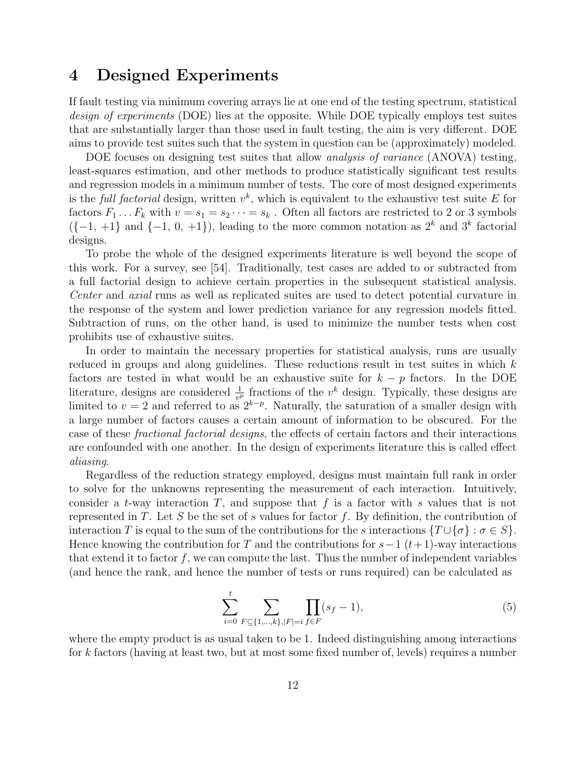## 4 Designed Experiments

If fault testing via minimum covering arrays lie at one end of the testing spectrum, statistical design of experiments (DOE) lies at the opposite. While DOE typically employs test suites that are substantially larger than those used in fault testing, the aim is very different. DOE aims to provide test suites such that the system in question can be (approximately) modeled.

DOE focuses on designing test suites that allow *analysis of variance* (ANOVA) testing, least-squares estimation, and other methods to produce statistically significant test results and regression models in a minimum number of tests. The core of most designed experiments is the *full factorial* design, written  $v^k$ , which is equivalent to the exhaustive test suite E for factors  $F_1 \ldots F_k$  with  $v = s_1 = s_2 \cdots = s_k$ . Often all factors are restricted to 2 or 3 symbols  $({-1, +1}$  and  ${-1, 0, +1}$ , leading to the more common notation as  $2<sup>k</sup>$  and  $3<sup>k</sup>$  factorial designs.

To probe the whole of the designed experiments literature is well beyond the scope of this work. For a survey, see [54]. Traditionally, test cases are added to or subtracted from a full factorial design to achieve certain properties in the subsequent statistical analysis. Center and axial runs as well as replicated suites are used to detect potential curvature in the response of the system and lower prediction variance for any regression models fitted. Subtraction of runs, on the other hand, is used to minimize the number tests when cost prohibits use of exhaustive suites.

In order to maintain the necessary properties for statistical analysis, runs are usually reduced in groups and along guidelines. These reductions result in test suites in which k factors are tested in what would be an exhaustive suite for  $k - p$  factors. In the DOE literature, designs are considered  $\frac{1}{v^p}$  fractions of the  $v^k$  design. Typically, these designs are limited to  $v = 2$  and referred to as  $2^{k-p}$ . Naturally, the saturation of a smaller design with a large number of factors causes a certain amount of information to be obscured. For the case of these fractional factorial designs, the effects of certain factors and their interactions are confounded with one another. In the design of experiments literature this is called effect aliasing.

Regardless of the reduction strategy employed, designs must maintain full rank in order to solve for the unknowns representing the measurement of each interaction. Intuitively, consider a t-way interaction  $T$ , and suppose that f is a factor with s values that is not represented in  $T$ . Let  $S$  be the set of  $s$  values for factor  $f$ . By definition, the contribution of interaction T is equal to the sum of the contributions for the s interactions  $\{T \cup \{\sigma\} : \sigma \in S\}.$ Hence knowing the contribution for T and the contributions for  $s-1$  (t+1)-way interactions that extend it to factor  $f$ , we can compute the last. Thus the number of independent variables (and hence the rank, and hence the number of tests or runs required) can be calculated as

$$
\sum_{i=0}^{t} \sum_{F \subseteq \{1,\dots,k\}, |F|=i} \prod_{f \in F} (s_f - 1),\tag{5}
$$

where the empty product is as usual taken to be 1. Indeed distinguishing among interactions for k factors (having at least two, but at most some fixed number of, levels) requires a number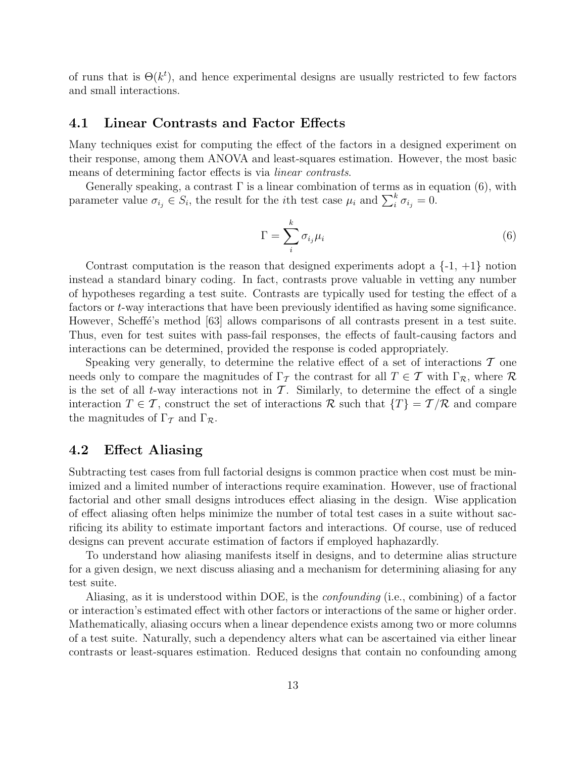of runs that is  $\Theta(k^t)$ , and hence experimental designs are usually restricted to few factors and small interactions.

### 4.1 Linear Contrasts and Factor Effects

Many techniques exist for computing the effect of the factors in a designed experiment on their response, among them ANOVA and least-squares estimation. However, the most basic means of determining factor effects is via linear contrasts.

Generally speaking, a contrast  $\Gamma$  is a linear combination of terms as in equation (6), with parameter value  $\sigma_{i_j} \in S_i$ , the result for the *i*th test case  $\mu_i$  and  $\sum_i^k \sigma_{i_j} = 0$ .

$$
\Gamma = \sum_{i}^{k} \sigma_{i_j} \mu_i \tag{6}
$$

Contrast computation is the reason that designed experiments adopt a  $\{-1, +1\}$  notion instead a standard binary coding. In fact, contrasts prove valuable in vetting any number of hypotheses regarding a test suite. Contrasts are typically used for testing the effect of a factors or t-way interactions that have been previously identified as having some significance. However, Scheffé's method [63] allows comparisons of all contrasts present in a test suite. Thus, even for test suites with pass-fail responses, the effects of fault-causing factors and interactions can be determined, provided the response is coded appropriately.

Speaking very generally, to determine the relative effect of a set of interactions  $\mathcal T$  one needs only to compare the magnitudes of  $\Gamma_{\mathcal{T}}$  the contrast for all  $T \in \mathcal{T}$  with  $\Gamma_{\mathcal{R}}$ , where  $\mathcal{R}$ is the set of all t-way interactions not in  $\mathcal T$ . Similarly, to determine the effect of a single interaction  $T \in \mathcal{T}$ , construct the set of interactions  $\mathcal{R}$  such that  $\{T\} = \mathcal{T}/\mathcal{R}$  and compare the magnitudes of  $\Gamma_{\mathcal{T}}$  and  $\Gamma_{\mathcal{R}}$ .

#### 4.2 Effect Aliasing

Subtracting test cases from full factorial designs is common practice when cost must be minimized and a limited number of interactions require examination. However, use of fractional factorial and other small designs introduces effect aliasing in the design. Wise application of effect aliasing often helps minimize the number of total test cases in a suite without sacrificing its ability to estimate important factors and interactions. Of course, use of reduced designs can prevent accurate estimation of factors if employed haphazardly.

To understand how aliasing manifests itself in designs, and to determine alias structure for a given design, we next discuss aliasing and a mechanism for determining aliasing for any test suite.

Aliasing, as it is understood within DOE, is the *confounding* (i.e., combining) of a factor or interaction's estimated effect with other factors or interactions of the same or higher order. Mathematically, aliasing occurs when a linear dependence exists among two or more columns of a test suite. Naturally, such a dependency alters what can be ascertained via either linear contrasts or least-squares estimation. Reduced designs that contain no confounding among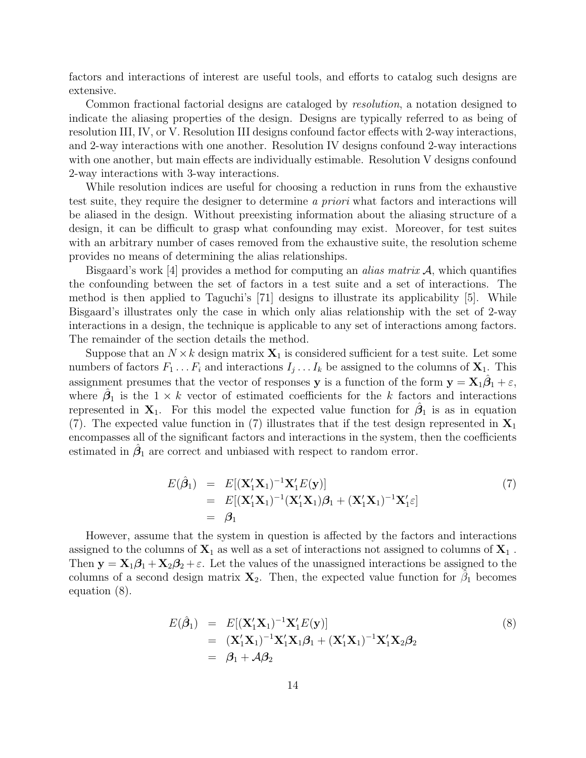factors and interactions of interest are useful tools, and efforts to catalog such designs are extensive.

Common fractional factorial designs are cataloged by *resolution*, a notation designed to indicate the aliasing properties of the design. Designs are typically referred to as being of resolution III, IV, or V. Resolution III designs confound factor effects with 2-way interactions, and 2-way interactions with one another. Resolution IV designs confound 2-way interactions with one another, but main effects are individually estimable. Resolution V designs confound 2-way interactions with 3-way interactions.

While resolution indices are useful for choosing a reduction in runs from the exhaustive test suite, they require the designer to determine a priori what factors and interactions will be aliased in the design. Without preexisting information about the aliasing structure of a design, it can be difficult to grasp what confounding may exist. Moreover, for test suites with an arbitrary number of cases removed from the exhaustive suite, the resolution scheme provides no means of determining the alias relationships.

Bisgaard's work [4] provides a method for computing an *alias matrix A*, which quantifies the confounding between the set of factors in a test suite and a set of interactions. The method is then applied to Taguchi's [71] designs to illustrate its applicability [5]. While Bisgaard's illustrates only the case in which only alias relationship with the set of 2-way interactions in a design, the technique is applicable to any set of interactions among factors. The remainder of the section details the method.

Suppose that an  $N \times k$  design matrix  $\mathbf{X}_1$  is considered sufficient for a test suite. Let some numbers of factors  $F_1 \ldots F_i$  and interactions  $I_j \ldots I_k$  be assigned to the columns of  $\mathbf{X}_1$ . This assignment presumes that the vector of responses **y** is a function of the form  $\mathbf{y} = \mathbf{X}_1 \hat{\boldsymbol{\beta}}_1 + \varepsilon$ , where  $\hat{\beta}_1$  is the 1 × k vector of estimated coefficients for the k factors and interactions represented in  $X_1$ . For this model the expected value function for  $\hat{\beta}_1$  is as in equation (7). The expected value function in (7) illustrates that if the test design represented in  $\mathbf{X}_1$ encompasses all of the significant factors and interactions in the system, then the coefficients estimated in  $\hat{\beta}_1$  are correct and unbiased with respect to random error.

$$
E(\hat{\boldsymbol{\beta}}_1) = E[(\mathbf{X}_1'\mathbf{X}_1)^{-1}\mathbf{X}_1'E(\mathbf{y})]
$$
  
\n
$$
= E[(\mathbf{X}_1'\mathbf{X}_1)^{-1}(\mathbf{X}_1'\mathbf{X}_1)\boldsymbol{\beta}_1 + (\mathbf{X}_1'\mathbf{X}_1)^{-1}\mathbf{X}_1'\varepsilon]
$$
  
\n
$$
= \boldsymbol{\beta}_1
$$
\n(7)

However, assume that the system in question is affected by the factors and interactions assigned to the columns of  $\mathbf{X}_1$  as well as a set of interactions not assigned to columns of  $\mathbf{X}_1$ . Then  $\mathbf{y} = \mathbf{X}_1 \boldsymbol{\beta}_1 + \mathbf{X}_2 \boldsymbol{\beta}_2 + \varepsilon$ . Let the values of the unassigned interactions be assigned to the columns of a second design matrix  $\mathbf{X}_2$ . Then, the expected value function for  $\tilde{\beta}_1$  becomes equation (8).

$$
E(\hat{\boldsymbol{\beta}}_1) = E[(\mathbf{X}_1'\mathbf{X}_1)^{-1}\mathbf{X}_1'E(\mathbf{y})]
$$
  
\n
$$
= (\mathbf{X}_1'\mathbf{X}_1)^{-1}\mathbf{X}_1'\mathbf{X}_1\boldsymbol{\beta}_1 + (\mathbf{X}_1'\mathbf{X}_1)^{-1}\mathbf{X}_1'\mathbf{X}_2\boldsymbol{\beta}_2
$$
  
\n
$$
= \boldsymbol{\beta}_1 + \mathcal{A}\boldsymbol{\beta}_2
$$
\n(8)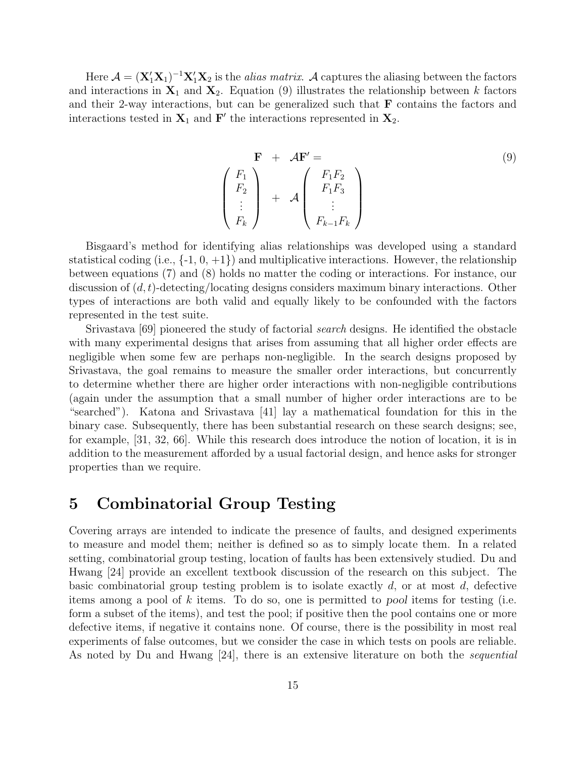Here  $\mathcal{A} = (\mathbf{X}_1' \mathbf{X}_1)^{-1} \mathbf{X}_1' \mathbf{X}_2$  is the *alias matrix.* A captures the aliasing between the factors and interactions in  $X_1$  and  $X_2$ . Equation (9) illustrates the relationship between k factors and their 2-way interactions, but can be generalized such that F contains the factors and interactions tested in  $X_1$  and  $F'$  the interactions represented in  $X_2$ .

$$
\begin{pmatrix}\nF + A\mathbf{F}' = \\
F_1 \\
F_2 \\
\vdots \\
F_k\n\end{pmatrix} + A \begin{pmatrix}\nF_1F_2 \\
F_1F_3 \\
\vdots \\
F_{k-1}F_k\n\end{pmatrix}
$$
\n(9)

Bisgaard's method for identifying alias relationships was developed using a standard statistical coding (i.e.,  $\{-1, 0, +1\}$ ) and multiplicative interactions. However, the relationship between equations (7) and (8) holds no matter the coding or interactions. For instance, our discussion of  $(d, t)$ -detecting/locating designs considers maximum binary interactions. Other types of interactions are both valid and equally likely to be confounded with the factors represented in the test suite.

Srivastava [69] pioneered the study of factorial *search* designs. He identified the obstacle with many experimental designs that arises from assuming that all higher order effects are negligible when some few are perhaps non-negligible. In the search designs proposed by Srivastava, the goal remains to measure the smaller order interactions, but concurrently to determine whether there are higher order interactions with non-negligible contributions (again under the assumption that a small number of higher order interactions are to be "searched"). Katona and Srivastava [41] lay a mathematical foundation for this in the binary case. Subsequently, there has been substantial research on these search designs; see, for example, [31, 32, 66]. While this research does introduce the notion of location, it is in addition to the measurement afforded by a usual factorial design, and hence asks for stronger properties than we require.

# 5 Combinatorial Group Testing

Covering arrays are intended to indicate the presence of faults, and designed experiments to measure and model them; neither is defined so as to simply locate them. In a related setting, combinatorial group testing, location of faults has been extensively studied. Du and Hwang [24] provide an excellent textbook discussion of the research on this subject. The basic combinatorial group testing problem is to isolate exactly  $d$ , or at most  $d$ , defective items among a pool of  $k$  items. To do so, one is permitted to pool items for testing (i.e. form a subset of the items), and test the pool; if positive then the pool contains one or more defective items, if negative it contains none. Of course, there is the possibility in most real experiments of false outcomes, but we consider the case in which tests on pools are reliable. As noted by Du and Hwang [24], there is an extensive literature on both the sequential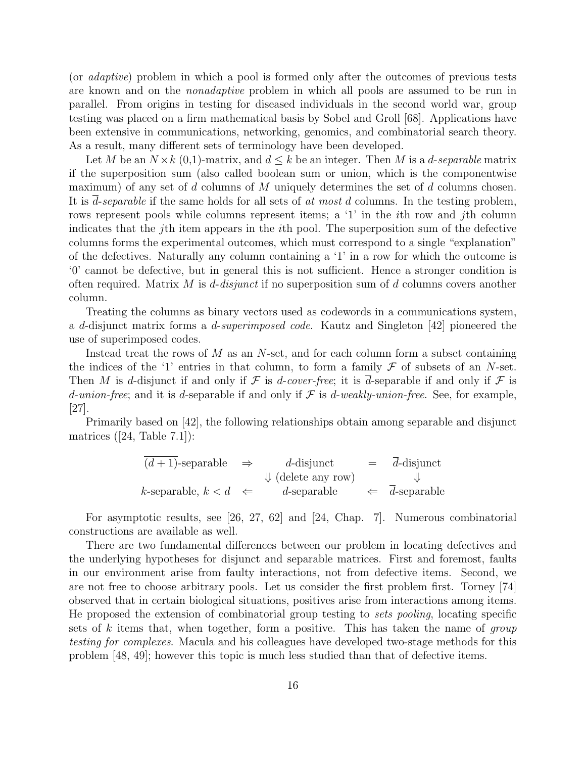(or adaptive) problem in which a pool is formed only after the outcomes of previous tests are known and on the nonadaptive problem in which all pools are assumed to be run in parallel. From origins in testing for diseased individuals in the second world war, group testing was placed on a firm mathematical basis by Sobel and Groll [68]. Applications have been extensive in communications, networking, genomics, and combinatorial search theory. As a result, many different sets of terminology have been developed.

Let M be an  $N \times k(0,1)$ -matrix, and  $d \leq k$  be an integer. Then M is a d-separable matrix if the superposition sum (also called boolean sum or union, which is the componentwise maximum) of any set of d columns of M uniquely determines the set of d columns chosen. It is d-separable if the same holds for all sets of at most d columns. In the testing problem, rows represent pools while columns represent items; a '1' in the *i*th row and *j*th column indicates that the jth item appears in the ith pool. The superposition sum of the defective columns forms the experimental outcomes, which must correspond to a single "explanation" of the defectives. Naturally any column containing a '1' in a row for which the outcome is '0' cannot be defective, but in general this is not sufficient. Hence a stronger condition is often required. Matrix M is d-disjunct if no superposition sum of d columns covers another column.

Treating the columns as binary vectors used as codewords in a communications system, a d-disjunct matrix forms a d-superimposed code. Kautz and Singleton [42] pioneered the use of superimposed codes.

Instead treat the rows of M as an N-set, and for each column form a subset containing the indices of the '1' entries in that column, to form a family  $\mathcal F$  of subsets of an N-set. Then M is d-disjunct if and only if F is d-cover-free; it is d-separable if and only if F is d-union-free; and it is d-separable if and only if  $\mathcal F$  is d-weakly-union-free. See, for example, [27].

Primarily based on [42], the following relationships obtain among separable and disjunct matrices  $([24, \text{Table 7.1}])$ :

$$
\overline{(d+1)}\text{-separable} \Rightarrow d\text{-disjunct} = \overline{d}\text{-disjunct}
$$
\n
$$
\downarrow \text{(delete any row)} \qquad \downarrow
$$
\n
$$
k\text{-separable}, k < d \iff d\text{-separable} \iff \overline{d}\text{-separable}
$$

For asymptotic results, see [26, 27, 62] and [24, Chap. 7]. Numerous combinatorial constructions are available as well.

There are two fundamental differences between our problem in locating defectives and the underlying hypotheses for disjunct and separable matrices. First and foremost, faults in our environment arise from faulty interactions, not from defective items. Second, we are not free to choose arbitrary pools. Let us consider the first problem first. Torney [74] observed that in certain biological situations, positives arise from interactions among items. He proposed the extension of combinatorial group testing to sets pooling, locating specific sets of k items that, when together, form a positive. This has taken the name of group testing for complexes. Macula and his colleagues have developed two-stage methods for this problem [48, 49]; however this topic is much less studied than that of defective items.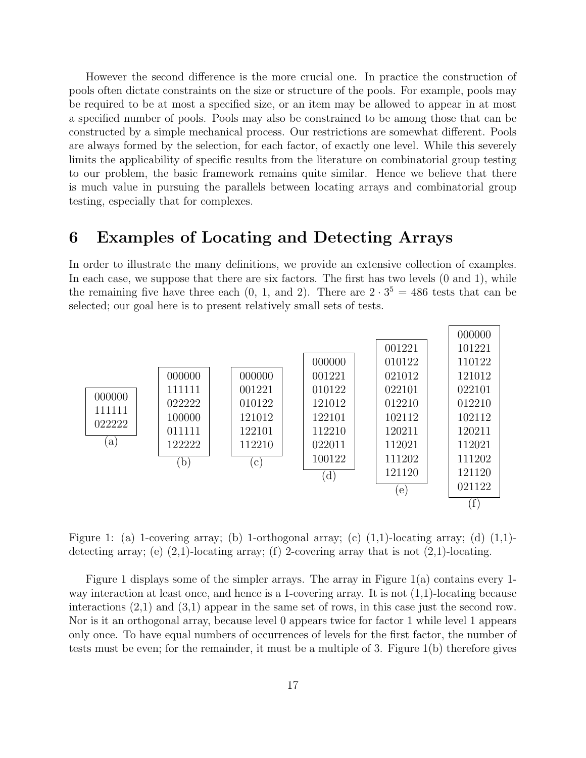However the second difference is the more crucial one. In practice the construction of pools often dictate constraints on the size or structure of the pools. For example, pools may be required to be at most a specified size, or an item may be allowed to appear in at most a specified number of pools. Pools may also be constrained to be among those that can be constructed by a simple mechanical process. Our restrictions are somewhat different. Pools are always formed by the selection, for each factor, of exactly one level. While this severely limits the applicability of specific results from the literature on combinatorial group testing to our problem, the basic framework remains quite similar. Hence we believe that there is much value in pursuing the parallels between locating arrays and combinatorial group testing, especially that for complexes.

# 6 Examples of Locating and Detecting Arrays

In order to illustrate the many definitions, we provide an extensive collection of examples. In each case, we suppose that there are six factors. The first has two levels  $(0 \text{ and } 1)$ , while the remaining five have three each  $(0, 1, \text{ and } 2)$ . There are  $2 \cdot 3^5 = 486$  tests that can be selected; our goal here is to present relatively small sets of tests.

|        |                |                     |        |        | 000000       |
|--------|----------------|---------------------|--------|--------|--------------|
|        |                |                     |        | 001221 | 101221       |
|        |                |                     | 000000 | 010122 | 110122       |
|        | 000000         | 000000              | 001221 | 021012 | 121012       |
| 000000 | 111111         | 001221              | 010122 | 022101 | 022101       |
| 111111 | 022222         | 010122              | 121012 | 012210 | 012210       |
| 022222 | 100000         | 121012              | 122101 | 102112 | 102112       |
|        | 011111         | 122101              | 112210 | 120211 | 120211       |
| (a)    | 122222         | 112210              | 022011 | 112021 | 112021       |
|        | $\mathbf{b}$ ) | $\lfloor c \rfloor$ | 100122 | 111202 | 111202       |
|        |                |                     | (d)    | 121120 | 121120       |
|        |                |                     |        | (e)    | 021122       |
|        |                |                     |        |        | $^{(\rm f)}$ |

Figure 1: (a) 1-covering array; (b) 1-orthogonal array; (c)  $(1,1)$ -locating array; (d)  $(1,1)$ detecting array; (e)  $(2,1)$ -locating array; (f) 2-covering array that is not  $(2,1)$ -locating.

Figure 1 displays some of the simpler arrays. The array in Figure  $1(a)$  contains every 1way interaction at least once, and hence is a 1-covering array. It is not (1,1)-locating because interactions  $(2,1)$  and  $(3,1)$  appear in the same set of rows, in this case just the second row. Nor is it an orthogonal array, because level 0 appears twice for factor 1 while level 1 appears only once. To have equal numbers of occurrences of levels for the first factor, the number of tests must be even; for the remainder, it must be a multiple of 3. Figure 1(b) therefore gives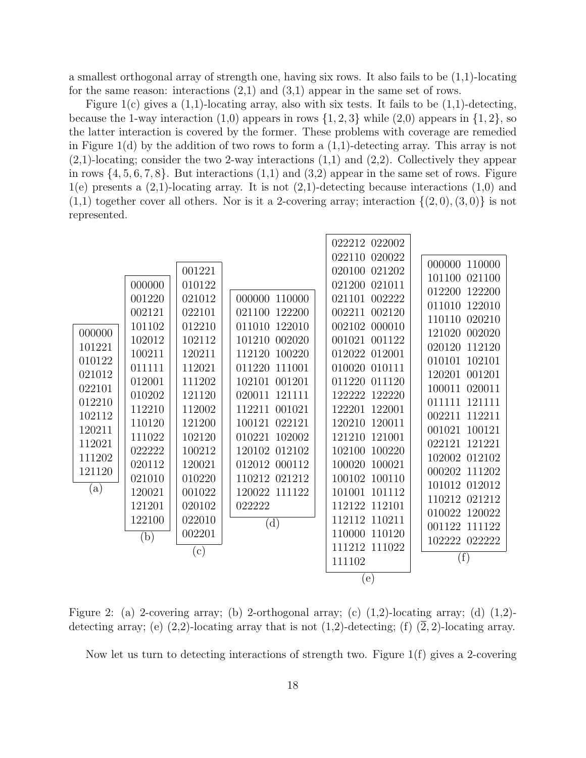a smallest orthogonal array of strength one, having six rows. It also fails to be (1,1)-locating for the same reason: interactions  $(2,1)$  and  $(3,1)$  appear in the same set of rows.

Figure 1(c) gives a  $(1,1)$ -locating array, also with six tests. It fails to be  $(1,1)$ -detecting, because the 1-way interaction (1,0) appears in rows  $\{1, 2, 3\}$  while (2,0) appears in  $\{1, 2\}$ , so the latter interaction is covered by the former. These problems with coverage are remedied in Figure 1(d) by the addition of two rows to form a  $(1,1)$ -detecting array. This array is not  $(2,1)$ -locating; consider the two 2-way interactions  $(1,1)$  and  $(2,2)$ . Collectively they appear in rows  $\{4, 5, 6, 7, 8\}$ . But interactions  $(1,1)$  and  $(3,2)$  appear in the same set of rows. Figure  $1(e)$  presents a  $(2,1)$ -locating array. It is not  $(2,1)$ -detecting because interactions  $(1,0)$  and  $(1,1)$  together cover all others. Nor is it a 2-covering array; interaction  $\{(2,0),(3,0)\}$  is not represented.

| 022212 022002                                                              |                  |
|----------------------------------------------------------------------------|------------------|
| 022110 020022                                                              |                  |
| 001221<br>020100 021202                                                    | 000000 110000    |
| 010122<br>000000<br>021200<br>021011                                       | 101100 021100    |
| 001220<br>000000 110000<br>021101 002222<br>021012                         | 012200 122200    |
| 021100 122200<br>002211 002120<br>002121<br>022101                         | 011010<br>122010 |
| 122010<br>101102<br>012210<br>011010<br>002102 000010                      | 110110 020210    |
| 000000<br>102012<br>001021 001122<br>102112<br>101210<br>002020            | 121020<br>002020 |
| 101221<br>100211<br>012022 012001<br>120211<br>112120<br>100220            | 020120 112120    |
| 010122<br>011111<br>112021<br>011220<br>111001<br>010020 010111            | 010101 102101    |
| 021012<br>012001<br>111202<br>102101<br>001201<br>011220 011120            | 120201 001201    |
| 022101<br>$\mathtt{010202}$<br>020011 121111<br>121120<br>122222<br>122220 | 100011 020011    |
| 012210<br>112210<br>112002<br>112211<br>122201<br>122001<br>001021         | 011111 121111    |
| 102112<br>110120<br>100121<br>120011<br>121200<br>022121<br>120210         | 112211<br>002211 |
| 120211<br>111022<br>010221 102002<br>121210<br>121001<br>102120            | 001021 100121    |
| 112021<br>022222<br>100212<br>120102 012102<br>102100<br>100220            | 022121 121221    |
| 111202<br>012012 000112<br>020112<br>120021<br>100020<br>100021            | 102002 012102    |
| 121120<br>110212 021212<br>100102 100110<br>021010<br>010220               | 000202 111202    |
| (a)<br>101001 101112<br>120021<br>001022<br>120022 111122                  | 101012 012012    |
| 112122 112101<br>121201<br>020102<br>022222                                | 110212 021212    |
| 112112 110211<br>022010<br>122100<br>(d)                                   | 010022 120022    |
| 110000 110120<br>002201<br>$\overline{(b)}$                                | 001122 111122    |
|                                                                            |                  |
| 111212 111022                                                              | 102222 022222    |
| (c)<br>111102                                                              | (f)              |

Figure 2: (a) 2-covering array; (b) 2-orthogonal array; (c)  $(1,2)$ -locating array; (d)  $(1,2)$ detecting array; (e)  $(2,2)$ -locating array that is not  $(1,2)$ -detecting; (f)  $(2,2)$ -locating array.

Now let us turn to detecting interactions of strength two. Figure 1(f) gives a 2-covering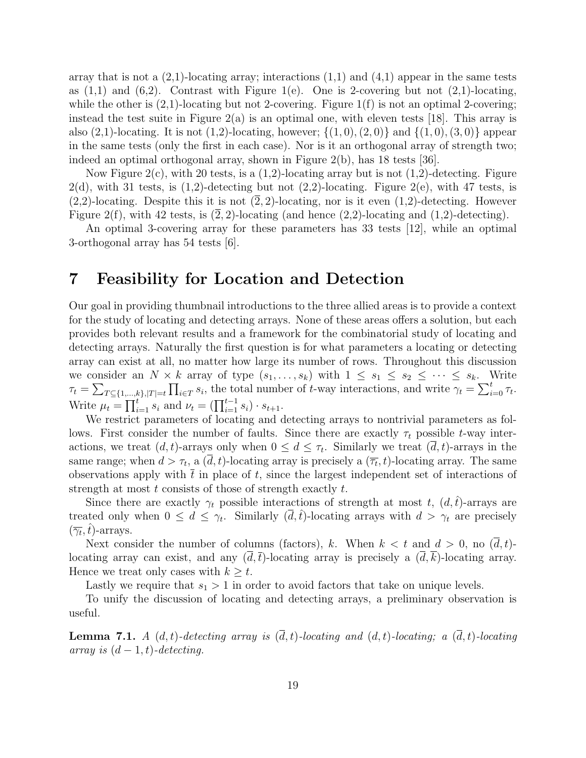array that is not a  $(2,1)$ -locating array; interactions  $(1,1)$  and  $(4,1)$  appear in the same tests as  $(1,1)$  and  $(6,2)$ . Contrast with Figure 1(e). One is 2-covering but not  $(2,1)$ -locating, while the other is  $(2,1)$ -locating but not 2-covering. Figure  $1(f)$  is not an optimal 2-covering; instead the test suite in Figure  $2(a)$  is an optimal one, with eleven tests [18]. This array is also  $(2,1)$ -locating. It is not  $(1,2)$ -locating, however;  $\{(1,0),(2,0)\}$  and  $\{(1,0),(3,0)\}$  appear in the same tests (only the first in each case). Nor is it an orthogonal array of strength two; indeed an optimal orthogonal array, shown in Figure 2(b), has 18 tests [36].

Now Figure  $2(c)$ , with 20 tests, is a  $(1,2)$ -locating array but is not  $(1,2)$ -detecting. Figure  $2(d)$ , with 31 tests, is (1,2)-detecting but not (2,2)-locating. Figure 2(e), with 47 tests, is  $(2,2)$ -locating. Despite this it is not  $(\overline{2}, 2)$ -locating, nor is it even  $(1,2)$ -detecting. However Figure 2(f), with 42 tests, is  $(\overline{2}, 2)$ -locating (and hence  $(2,2)$ -locating and  $(1,2)$ -detecting).

An optimal 3-covering array for these parameters has 33 tests [12], while an optimal 3-orthogonal array has 54 tests [6].

### 7 Feasibility for Location and Detection

Our goal in providing thumbnail introductions to the three allied areas is to provide a context for the study of locating and detecting arrays. None of these areas offers a solution, but each provides both relevant results and a framework for the combinatorial study of locating and detecting arrays. Naturally the first question is for what parameters a locating or detecting array can exist at all, no matter how large its number of rows. Throughout this discussion we consider an  $N \times k$  array of type  $(s_1, \ldots, s_k)$  with  $1 \leq s_1 \leq s_2 \leq \cdots \leq s_k$ . Write  $\tau_t = \sum_{T \subseteq \{1,\dots,k\}, |T|=t} \prod_{i \in T} s_i$ , the total number of t-way interactions, and write  $\gamma_t = \sum_{i=0}^t \tau_t$ . Write  $\mu_t = \prod_{i=1}^t s_i$  and  $\nu_t = (\prod_{i=1}^{t-1} s_i) \cdot s_{t+1}$ .

We restrict parameters of locating and detecting arrays to nontrivial parameters as follows. First consider the number of faults. Since there are exactly  $\tau_t$  possible t-way interactions, we treat  $(d, t)$ -arrays only when  $0 \leq d \leq \tau_t$ . Similarly we treat  $(d, t)$ -arrays in the same range; when  $d > \tau_t$ , a  $(d, t)$ -locating array is precisely a  $(\overline{\tau_t}, t)$ -locating array. The same observations apply with  $\bar{t}$  in place of t, since the largest independent set of interactions of strength at most  $t$  consists of those of strength exactly  $t$ .

Since there are exactly  $\gamma_t$  possible interactions of strength at most t,  $(d,\hat{t})$ -arrays are treated only when  $0 \leq d \leq \gamma_t$ . Similarly  $(\bar{d}, \hat{t})$ -locating arrays with  $d > \gamma_t$  are precisely  $(\overline{\gamma_t}, \hat{t})$ -arrays.

Next consider the number of columns (factors), k. When  $k < t$  and  $d > 0$ , no  $(d, t)$ locating array can exist, and any  $(\overline{d},\overline{t})$ -locating array is precisely a  $(\overline{d},\overline{k})$ -locating array. Hence we treat only cases with  $k \geq t$ .

Lastly we require that  $s_1 > 1$  in order to avoid factors that take on unique levels.

To unify the discussion of locating and detecting arrays, a preliminary observation is useful.

**Lemma 7.1.** A  $(d, t)$ -detecting array is  $(\overline{d}, t)$ -locating and  $(d, t)$ -locating; a  $(\overline{d}, t)$ -locating array is  $(d-1, t)$ -detecting.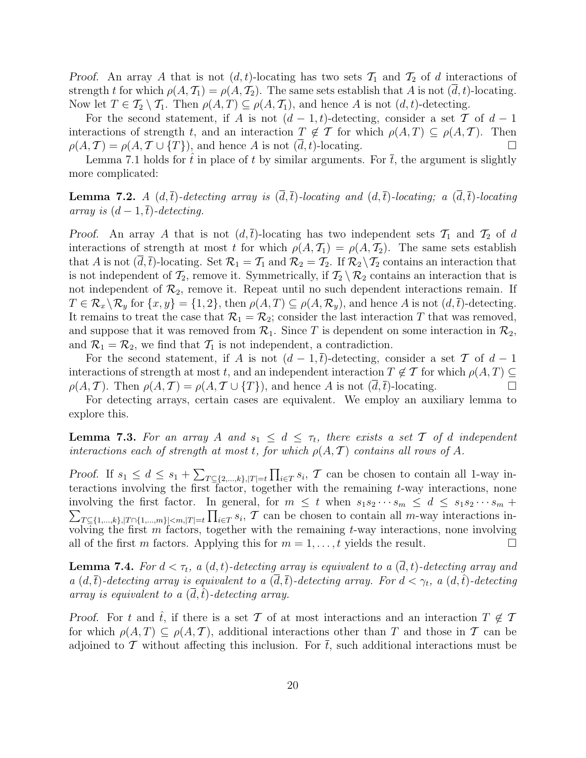Proof. An array A that is not  $(d, t)$ -locating has two sets  $\mathcal{T}_1$  and  $\mathcal{T}_2$  of d interactions of strength t for which  $\rho(A, \mathcal{T}_1) = \rho(A, \mathcal{T}_2)$ . The same sets establish that A is not  $(\overline{d}, t)$ -locating. Now let  $T \in \mathcal{T}_2 \setminus \mathcal{T}_1$ . Then  $\rho(A, T) \subseteq \rho(A, \mathcal{T}_1)$ , and hence A is not  $(d, t)$ -detecting.

For the second statement, if A is not  $(d-1,t)$ -detecting, consider a set T of  $d-1$ interactions of strength t, and an interaction  $T \notin \mathcal{T}$  for which  $\rho(A, T) \subseteq \rho(A, \mathcal{T})$ . Then  $\rho(A, \mathcal{T}) = \rho(A, \mathcal{T} \cup \{T\})$ , and hence A is not  $(d, t)$ -locating.

Lemma 7.1 holds for  $\hat{t}$  in place of t by similar arguments. For  $\overline{t}$ , the argument is slightly more complicated:

**Lemma 7.2.** A  $(d,\bar{t})$ -detecting array is  $(\bar{d},\bar{t})$ -locating and  $(d,\bar{t})$ -locating; a  $(\bar{d},\bar{t})$ -locating array is  $(d-1,\bar{t})$ -detecting.

Proof. An array A that is not  $(d,\bar{t})$ -locating has two independent sets  $\mathcal{T}_1$  and  $\mathcal{T}_2$  of d interactions of strength at most t for which  $\rho(A, \mathcal{T}_1) = \rho(A, \mathcal{T}_2)$ . The same sets establish that A is not  $(d,t)$ -locating. Set  $\mathcal{R}_1 = \mathcal{T}_1$  and  $\mathcal{R}_2 = \mathcal{T}_2$ . If  $\mathcal{R}_2 \setminus \mathcal{T}_2$  contains an interaction that is not independent of  $\mathcal{T}_2$ , remove it. Symmetrically, if  $\mathcal{T}_2 \setminus \mathcal{R}_2$  contains an interaction that is not independent of  $\mathcal{R}_2$ , remove it. Repeat until no such dependent interactions remain. If  $T \in \mathcal{R}_x \setminus \mathcal{R}_y$  for  $\{x, y\} = \{1, 2\}$ , then  $\rho(A, T) \subseteq \rho(A, \mathcal{R}_y)$ , and hence A is not  $(d, t)$ -detecting. It remains to treat the case that  $\mathcal{R}_1 = \mathcal{R}_2$ ; consider the last interaction T that was removed, and suppose that it was removed from  $\mathcal{R}_1$ . Since T is dependent on some interaction in  $\mathcal{R}_2$ , and  $\mathcal{R}_1 = \mathcal{R}_2$ , we find that  $\mathcal{T}_1$  is not independent, a contradiction.

For the second statement, if A is not  $(d-1,\bar{t})$ -detecting, consider a set T of  $d-1$ interactions of strength at most t, and an independent interaction  $T \notin \mathcal{T}$  for which  $\rho(A, T) \subseteq$  $\rho(A, \mathcal{T})$ . Then  $\rho(A, \mathcal{T}) = \rho(A, \mathcal{T} \cup \{T\})$ , and hence A is not  $(d, \overline{t})$ -locating.

For detecting arrays, certain cases are equivalent. We employ an auxiliary lemma to explore this.

**Lemma 7.3.** For an array A and  $s_1 \leq d \leq \tau_t$ , there exists a set T of d independent interactions each of strength at most t, for which  $\rho(A, \mathcal{T})$  contains all rows of A.

Proof. If  $s_1 \leq d \leq s_1 + \sum_{T \subseteq \{2,\ldots,k\}, |T|=t} \prod_{i \in T} s_i$ , T can be chosen to contain all 1-way interactions involving the first factor, together with the remaining  $t$ -way interactions, none involving the first factor. In general, for  $m \leq t$  when  $s_1 s_2 \cdots s_m \leq d \leq s_1 s_2 \cdots s_m +$  $\sum_{T \subseteq \{1,\ldots,k\},|T \cap \{1,\ldots,m\}| \le m,|T|=t} \prod_{i \in T} s_i, T$  can be chosen to contain all m-way interactions involving the first  $m$  factors, together with the remaining  $t$ -way interactions, none involving all of the first m factors. Applying this for  $m = 1, \ldots, t$  yields the result.

**Lemma 7.4.** For  $d < \tau_t$ , a  $(d, t)$ -detecting array is equivalent to a  $(d, t)$ -detecting array and a  $(d,\bar{t})$ -detecting array is equivalent to a  $(d,\bar{t})$ -detecting array. For  $d < \gamma_t$ , a  $(d,\hat{t})$ -detecting array is equivalent to a  $(\bar{d},\hat{t})$ -detecting array.

Proof. For t and  $\hat{t}$ , if there is a set T of at most interactions and an interaction  $T \notin \mathcal{T}$ for which  $\rho(A,T) \subseteq \rho(A,T)$ , additional interactions other than T and those in T can be adjoined to T without affecting this inclusion. For  $\bar{t}$ , such additional interactions must be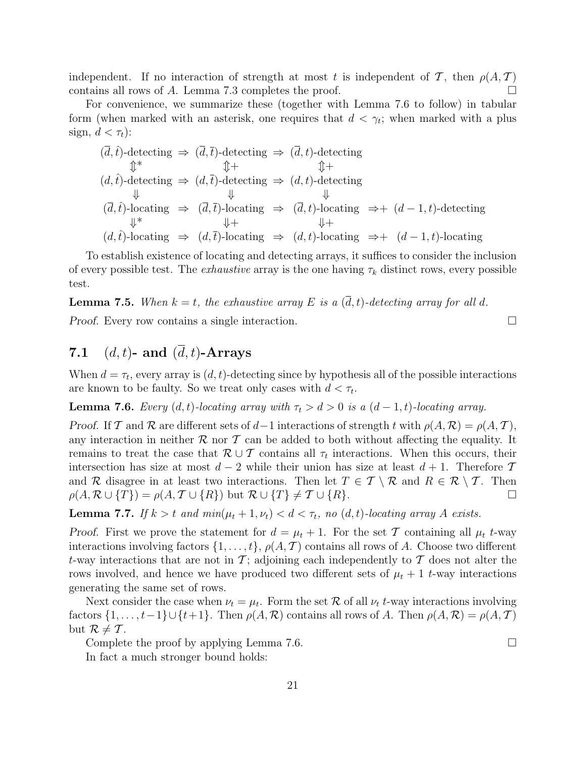independent. If no interaction of strength at most t is independent of T, then  $\rho(A, T)$ contains all rows of A. Lemma 7.3 completes the proof.  $\Box$ 

For convenience, we summarize these (together with Lemma 7.6 to follow) in tabular form (when marked with an asterisk, one requires that  $d < \gamma_t$ ; when marked with a plus sign,  $d < \tau_t$ :

$$
(\overline{d}, \hat{t})\text{-detecting} \Rightarrow (\overline{d}, \overline{t})\text{-detecting} \Rightarrow (\overline{d}, t)\text{-detecting}
$$
\n
$$
\updownarrow^*
$$
\n
$$
(d, \hat{t})\text{-detecting} \Rightarrow (d, \overline{t})\text{-detecting} \Rightarrow (d, t)\text{-detecting}
$$
\n
$$
\downarrow^*
$$
\n
$$
(\overline{d}, \hat{t})\text{-locating} \Rightarrow (\overline{d}, \overline{t})\text{-locating} \Rightarrow (\overline{d}, t)\text{-locating} \Rightarrow (d, t)\text{-locating} \Rightarrow (d, t)\text{-locating} \Rightarrow (d, t)\text{-locating} \Rightarrow (d, t)\text{-locating} \Rightarrow (d, t)\text{-locating} \Rightarrow (d, t)\text{-locating} \Rightarrow (d, t)\text{-locating} \Rightarrow (d, t)\text{-locating} \Rightarrow (d, t)\text{-locating} \Rightarrow (d, t)\text{-locating} \Rightarrow (d, t)\text{-locating} \Rightarrow (d, t)\text{-locating} \Rightarrow (d, t)\text{-locating} \Rightarrow (d, t)\text{-locating} \Rightarrow (d, t)\text{-locating} \Rightarrow (d, t)\text{-locating} \Rightarrow (d, t)\text{-locating} \Rightarrow (d, t)\text{-locating} \Rightarrow (d, t)\text{-locating} \Rightarrow (d, t)\text{-locating} \Rightarrow (d, t)\text{-locating} \Rightarrow (d, t)\text{-locating} \Rightarrow (d, t)\text{-locating} \Rightarrow (d, t)\text{-locating} \Rightarrow (d, t)\text{-locating} \Rightarrow (d, t)\text{-locating} \Rightarrow (d, t)\text{-locating} \Rightarrow (d, t)\text{-locating} \Rightarrow (d, t)\text{-locating} \Rightarrow (d, t)\text{-locating} \Rightarrow (d, t)\text{-locating} \Rightarrow (d, t)\text{-locating} \Rightarrow (d, t)\text{-locating} \Rightarrow (d, t)\text{-locating} \Rightarrow (d, t)\text{-locating} \Rightarrow (d, t)\text{-locating} \Rightarrow (d, t)\text{-locating} \Rightarrow (d, t)\text{-locating} \Rightarrow (d, t)\text{-locating} \Rightarrow (d, t)\text{-locating} \Rightarrow (d, t)\text{-locating} \Rightarrow (d, t)\text{-locating} \Rightarrow (d, t)\text{-locating} \Rightarrow (d, t)\text{-locating} \Rightarrow (d, t)\text{-locating} \Rightarrow (d, t)\text{-locating} \Rightarrow (d, t)\text{-loc
$$

To establish existence of locating and detecting arrays, it suffices to consider the inclusion of every possible test. The *exhaustive* array is the one having  $\tau_k$  distinct rows, every possible test.

**Lemma 7.5.** When  $k = t$ , the exhaustive array E is a  $(\bar{d}, t)$ -detecting array for all d.

Proof. Every row contains a single interaction.

# 7.1 (d, t)- and  $(\overline{d}, t)$ -Arrays

When  $d = \tau_t$ , every array is  $(d, t)$ -detecting since by hypothesis all of the possible interactions are known to be faulty. So we treat only cases with  $d < \tau_t$ .

**Lemma 7.6.** Every  $(d, t)$ -locating array with  $\tau_t > d > 0$  is a  $(d - 1, t)$ -locating array.

Proof. If T and R are different sets of d−1 interactions of strength t with  $\rho(A, \mathcal{R}) = \rho(A, \mathcal{T}),$ any interaction in neither  $\mathcal R$  nor  $\mathcal T$  can be added to both without affecting the equality. It remains to treat the case that  $\mathcal{R} \cup \mathcal{T}$  contains all  $\tau_t$  interactions. When this occurs, their intersection has size at most  $d-2$  while their union has size at least  $d+1$ . Therefore  $\mathcal T$ and R disagree in at least two interactions. Then let  $T \in \mathcal{T} \setminus \mathcal{R}$  and  $R \in \mathcal{R} \setminus \mathcal{T}$ . Then  $\rho(A, \mathcal{R} \cup \{T\}) = \rho(A, \mathcal{T} \cup \{R\})$  but  $\mathcal{R} \cup \{T\} \neq \mathcal{T} \cup \{R\}.$ 

**Lemma 7.7.** If  $k > t$  and  $min(\mu_t + 1, \nu_t) < d < \tau_t$ , no  $(d, t)$ -locating array A exists.

Proof. First we prove the statement for  $d = \mu_t + 1$ . For the set T containing all  $\mu_t$  t-way interactions involving factors  $\{1, \ldots, t\}, \rho(A, \mathcal{T})$  contains all rows of A. Choose two different t-way interactions that are not in  $\mathcal{T}$ ; adjoining each independently to  $\mathcal{T}$  does not alter the rows involved, and hence we have produced two different sets of  $\mu_t + 1$  t-way interactions generating the same set of rows.

Next consider the case when  $\nu_t = \mu_t$ . Form the set R of all  $\nu_t$  t-way interactions involving factors  $\{1,\ldots,t-1\}\cup\{t+1\}$ . Then  $\rho(A,\mathcal{R})$  contains all rows of A. Then  $\rho(A,\mathcal{R})=\rho(A,\mathcal{T})$ but  $\mathcal{R} \neq \mathcal{T}$ .

Complete the proof by applying Lemma 7.6.

In fact a much stronger bound holds: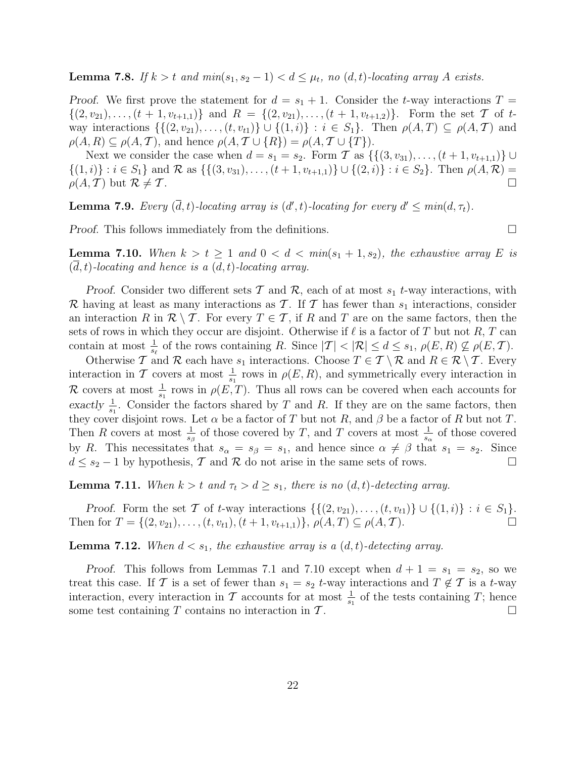**Lemma 7.8.** If  $k > t$  and  $min(s_1, s_2 - 1) < d \leq \mu_t$ , no  $(d, t)$ -locating array A exists.

Proof. We first prove the statement for  $d = s_1 + 1$ . Consider the t-way interactions  $T =$  $\{(2, v_{21}), \ldots, (t + 1, v_{t+1,1})\}$  and  $R = \{(2, v_{21}), \ldots, (t + 1, v_{t+1,2})\}$ . Form the set  $\mathcal T$  of  $t$ way interactions  $\{\{(2, v_{21}), \ldots, (t, v_{t1})\} \cup \{(1, i)\} : i \in S_1\}.$  Then  $\rho(A, T) \subseteq \rho(A, T)$  and  $\rho(A, R) \subseteq \rho(A, \mathcal{T})$ , and hence  $\rho(A, \mathcal{T} \cup \{R\}) = \rho(A, \mathcal{T} \cup \{T\})$ .

Next we consider the case when  $d = s_1 = s_2$ . Form  $\mathcal{T}$  as  $\{\{(3, v_{31}), \ldots, (t + 1, v_{t+1,1})\}\cup\{0\}$  $\{(1,i)\}: i \in S_1\}$  and  $\mathcal R$  as  $\{\{(3,v_{31}),\ldots,(t+1,v_{t+1,1})\}\cup\{(2,i)\}: i \in S_2\}$ . Then  $\rho(A,\mathcal R)$  =  $\rho(A, \mathcal{T})$  but  $\mathcal{R} \neq \mathcal{T}$ .

**Lemma 7.9.** Every  $(\bar{d}, t)$ -locating array is  $(d', t)$ -locating for every  $d' \leq min(d, \tau_t)$ .

Proof. This follows immediately from the definitions.

**Lemma 7.10.** When  $k > t \ge 1$  and  $0 < d < min(s_1 + 1, s_2)$ , the exhaustive array E is  $(d, t)$ -locating and hence is a  $(d, t)$ -locating array.

Proof. Consider two different sets  $\mathcal T$  and  $\mathcal R$ , each of at most  $s_1$  t-way interactions, with R having at least as many interactions as T. If T has fewer than  $s_1$  interactions, consider an interaction R in  $\mathcal{R} \setminus \mathcal{T}$ . For every  $T \in \mathcal{T}$ , if R and T are on the same factors, then the sets of rows in which they occur are disjoint. Otherwise if  $\ell$  is a factor of T but not R, T can contain at most  $\frac{1}{s_{\ell}}$  of the rows containing R. Since  $|\mathcal{T}| < |\mathcal{R}| \leq d \leq s_1$ ,  $\rho(E, R) \nsubseteq \rho(E, \mathcal{T})$ .

Otherwise T and R each have  $s_1$  interactions. Choose  $T \in \mathcal{T} \setminus \mathcal{R}$  and  $R \in \mathcal{R} \setminus \mathcal{T}$ . Every interaction in T covers at most  $\frac{1}{s_1}$  rows in  $\rho(E, R)$ , and symmetrically every interaction in R covers at most  $\frac{1}{s_1}$  rows in  $\rho(E,T)$ . Thus all rows can be covered when each accounts for exactly  $\frac{1}{s_1}$ . Consider the factors shared by T and R. If they are on the same factors, then they cover disjoint rows. Let  $\alpha$  be a factor of T but not R, and  $\beta$  be a factor of R but not T. Then R covers at most  $\frac{1}{s_\beta}$  of those covered by T, and T covers at most  $\frac{1}{s_\alpha}$  of those covered by R. This necessitates that  $s_{\alpha} = s_{\beta} = s_1$ , and hence since  $\alpha \neq \beta$  that  $s_1 = s_2$ . Since  $d \leq s_2 - 1$  by hypothesis, T and R do not arise in the same sets of rows.

**Lemma 7.11.** When  $k > t$  and  $\tau_t > d \geq s_1$ , there is no  $(d, t)$ -detecting array.

Proof. Form the set T of t-way interactions  $\{\{(2, v_{21}), \ldots, (t, v_{t1})\} \cup \{(1, i)\} : i \in S_1\}.$ Then for  $T = \{(2, v_{21}), \ldots, (t, v_{t1}), (t + 1, v_{t+1,1})\}, \rho(A, T) \subseteq \rho(A, T)$ .

**Lemma 7.12.** When  $d < s_1$ , the exhaustive array is a  $(d, t)$ -detecting array.

*Proof.* This follows from Lemmas 7.1 and 7.10 except when  $d + 1 = s_1 = s_2$ , so we treat this case. If T is a set of fewer than  $s_1 = s_2$  t-way interactions and  $T \notin \mathcal{T}$  is a t-way interaction, every interaction in T accounts for at most  $\frac{1}{s_1}$  of the tests containing T; hence some test containing T contains no interaction in T.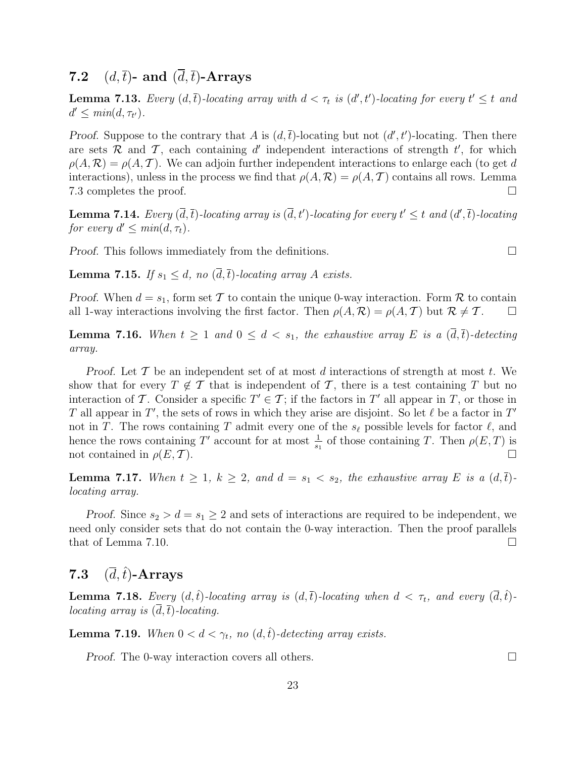# 7.2  $(d, \bar{t})$ - and  $(\bar{d}, \bar{t})$ -Arrays

**Lemma 7.13.** Every  $(d, \overline{t})$ -locating array with  $d < \tau_t$  is  $(d', t')$ -locating for every  $t' \leq t$  and  $d' \leq min(d, \tau_{t'})$ .

Proof. Suppose to the contrary that A is  $(d, \overline{t})$ -locating but not  $(d', t')$ -locating. Then there are sets  $\mathcal{R}$  and  $\mathcal{T}$ , each containing d' independent interactions of strength  $t'$ , for which  $\rho(A, \mathcal{R}) = \rho(A, \mathcal{T})$ . We can adjoin further independent interactions to enlarge each (to get d) interactions), unless in the process we find that  $\rho(A, \mathcal{R}) = \rho(A, \mathcal{T})$  contains all rows. Lemma 7.3 completes the proof.

**Lemma 7.14.** Every  $(\overline{d}, \overline{t})$ -locating array is  $(\overline{d}, t')$ -locating for every  $t' \leq t$  and  $(d', \overline{t})$ -locating for every  $d' \leq min(d, \tau_t)$ .

Proof. This follows immediately from the definitions.

**Lemma 7.15.** If  $s_1 \leq d$ , no  $(\overline{d},\overline{t})$ -locating array A exists.

Proof. When  $d = s_1$ , form set T to contain the unique 0-way interaction. Form R to contain all 1-way interactions involving the first factor. Then  $\rho(A, \mathcal{R}) = \rho(A, \mathcal{T})$  but  $\mathcal{R} \neq \mathcal{T}$ .

**Lemma 7.16.** When  $t \geq 1$  and  $0 \leq d < s_1$ , the exhaustive array E is a  $(\overline{d}, \overline{t})$ -detecting array.

Proof. Let  $\mathcal T$  be an independent set of at most d interactions of strength at most t. We show that for every  $T \notin \mathcal{T}$  that is independent of  $\mathcal{T}$ , there is a test containing T but no interaction of T. Consider a specific  $T' \in T$ ; if the factors in T' all appear in T, or those in T all appear in T', the sets of rows in which they arise are disjoint. So let  $\ell$  be a factor in T' not in T. The rows containing T admit every one of the  $s_\ell$  possible levels for factor  $\ell$ , and hence the rows containing T' account for at most  $\frac{1}{s_1}$  of those containing T. Then  $\rho(E,T)$  is not contained in  $\rho(E, \mathcal{T})$ .

**Lemma 7.17.** When  $t \geq 1$ ,  $k \geq 2$ , and  $d = s_1 < s_2$ , the exhaustive array E is a  $(d, \overline{t})$ locating array.

Proof. Since  $s_2 > d = s_1 \geq 2$  and sets of interactions are required to be independent, we need only consider sets that do not contain the 0-way interaction. Then the proof parallels that of Lemma 7.10.

# 7.3  $(\overline{d},\hat{t})$ -Arrays

**Lemma 7.18.** Every  $(d, \hat{t})$ -locating array is  $(d, \bar{t})$ -locating when  $d < \tau_t$ , and every  $(\bar{d}, \hat{t})$ locating array is  $(\overline{d},\overline{t})$ -locating.

**Lemma 7.19.** When  $0 < d < \gamma_t$ , no  $(d, \hat{t})$ -detecting array exists.

*Proof.* The 0-way interaction covers all others.  $\Box$ 

23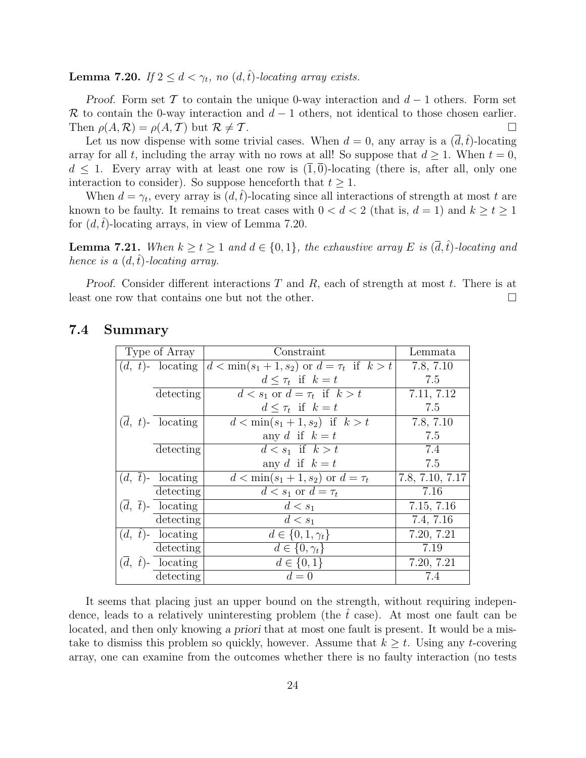**Lemma 7.20.** If  $2 \leq d < \gamma_t$ , no  $(d, \hat{t})$ -locating array exists.

Proof. Form set T to contain the unique 0-way interaction and  $d-1$  others. Form set R to contain the 0-way interaction and  $d-1$  others, not identical to those chosen earlier. Then  $\rho(A, \mathcal{R}) = \rho(A, \mathcal{T})$  but  $\mathcal{R} \neq \mathcal{T}$ .

Let us now dispense with some trivial cases. When  $d = 0$ , any array is a  $(d, \hat{t})$ -locating array for all t, including the array with no rows at all! So suppose that  $d \geq 1$ . When  $t = 0$ ,  $d \leq 1$ . Every array with at least one row is  $(1,0)$ -locating (there is, after all, only one interaction to consider). So suppose henceforth that  $t \geq 1$ .

When  $d = \gamma_t$ , every array is  $(d, \hat{t})$ -locating since all interactions of strength at most t are known to be faulty. It remains to treat cases with  $0 < d < 2$  (that is,  $d = 1$ ) and  $k \ge t \ge 1$ for  $(d,t)$ -locating arrays, in view of Lemma 7.20.

**Lemma 7.21.** When  $k \ge t \ge 1$  and  $d \in \{0, 1\}$ , the exhaustive array E is  $(\overline{d}, \hat{t})$ -locating and hence is a  $(d,t)$ -locating array.

*Proof.* Consider different interactions  $T$  and  $R$ , each of strength at most  $t$ . There is at least one row that contains one but not the other.

| Type of Array       |                                           | Constraint                                          | Lemmata         |  |
|---------------------|-------------------------------------------|-----------------------------------------------------|-----------------|--|
| $(d, t)$ - locating |                                           | $d < \min(s_1 + 1, s_2)$ or $d = \tau_t$ if $k > t$ | 7.8, 7.10       |  |
|                     |                                           | $d \leq \tau_t$ if $k = t$                          | 7.5             |  |
|                     | detecting                                 | $d < s_1$ or $d = \tau_t$ if $k > t$                | 7.11, 7.12      |  |
|                     |                                           | $d \leq \tau_t$ if $k = t$                          | 7.5             |  |
|                     | $(d, t)$ - locating                       | $d < \min(s_1 + 1, s_2)$ if $k > t$                 | 7.8, 7.10       |  |
|                     |                                           | any d if $k = t$                                    | 7.5             |  |
|                     | detecting                                 | $d < s_1$ if $k > t$                                | 7.4             |  |
|                     |                                           | any d if $k = t$                                    | 7.5             |  |
|                     | $(d, \bar{t})$ - locating                 | $d < \min(s_1 + 1, s_2)$ or $d = \tau_t$            | 7.8, 7.10, 7.17 |  |
|                     | detecting                                 | $d < s_1$ or $d = \tau_t$                           | 7.16            |  |
|                     | $(\overline{d}, \overline{t})$ - locating | $d < s_1$                                           | 7.15, 7.16      |  |
|                     | detecting                                 | $d < s_1$                                           | 7.4, 7.16       |  |
|                     | $(d, \hat{t})$ - locating                 | $d \in \{0, 1, \gamma_t\}$                          | 7.20, 7.21      |  |
|                     | detecting                                 | $d \in \{0, \gamma_t\}$                             | 7.19            |  |
|                     | $(\overline{d}, \hat{t})$ - locating      | $d \in \{0, 1\}$                                    | 7.20, 7.21      |  |
|                     | detecting                                 | $d=0$                                               | 7.4             |  |

### 7.4 Summary

It seems that placing just an upper bound on the strength, without requiring independence, leads to a relatively uninteresting problem (the  $\hat{t}$  case). At most one fault can be located, and then only knowing a priori that at most one fault is present. It would be a mistake to dismiss this problem so quickly, however. Assume that  $k \geq t$ . Using any t-covering array, one can examine from the outcomes whether there is no faulty interaction (no tests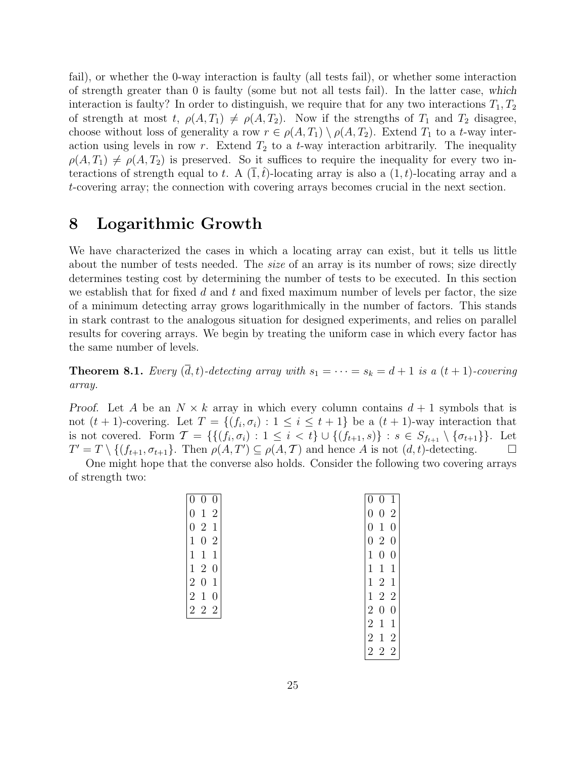fail), or whether the 0-way interaction is faulty (all tests fail), or whether some interaction of strength greater than 0 is faulty (some but not all tests fail). In the latter case, which interaction is faulty? In order to distinguish, we require that for any two interactions  $T_1, T_2$ of strength at most t,  $\rho(A, T_1) \neq \rho(A, T_2)$ . Now if the strengths of  $T_1$  and  $T_2$  disagree, choose without loss of generality a row  $r \in \rho(A, T_1) \setminus \rho(A, T_2)$ . Extend  $T_1$  to a t-way interaction using levels in row r. Extend  $T_2$  to a t-way interaction arbitrarily. The inequality  $\rho(A, T_1) \neq \rho(A, T_2)$  is preserved. So it suffices to require the inequality for every two interactions of strength equal to t. A  $(\overline{1}, \hat{t})$ -locating array is also a  $(1, t)$ -locating array and a t-covering array; the connection with covering arrays becomes crucial in the next section.

## 8 Logarithmic Growth

We have characterized the cases in which a locating array can exist, but it tells us little about the number of tests needed. The *size* of an array is its number of rows; size directly determines testing cost by determining the number of tests to be executed. In this section we establish that for fixed d and t and fixed maximum number of levels per factor, the size of a minimum detecting array grows logarithmically in the number of factors. This stands in stark contrast to the analogous situation for designed experiments, and relies on parallel results for covering arrays. We begin by treating the uniform case in which every factor has the same number of levels.

**Theorem 8.1.** Every  $(\bar{d}, t)$ -detecting array with  $s_1 = \cdots = s_k = d+1$  is a  $(t+1)$ -covering array.

Proof. Let A be an  $N \times k$  array in which every column contains  $d+1$  symbols that is not  $(t+1)$ -covering. Let  $T = \{(f_i, \sigma_i) : 1 \leq i \leq t+1\}$  be a  $(t+1)$ -way interaction that is not covered. Form  $\mathcal{T} = \{ \{ (f_i, \sigma_i) : 1 \leq i < t \} \cup \{ (f_{t+1}, s) \} : s \in S_{f_{t+1}} \setminus \{ \sigma_{t+1} \} \}.$  Let  $T' = T \setminus \{ (f_{t+1}, \sigma_{t+1}) \colon \text{Then } \rho(A, T') \subseteq \rho(A, T) \text{ and hence } A \text{ is not } (d, t) \text{-detecting.}$ 

One might hope that the converse also holds. Consider the following two covering arrays of strength two:

| U                                   |                  |                | $\mathbf 1$    |
|-------------------------------------|------------------|----------------|----------------|
| $\overline{2}$<br>$\mathbf{1}$<br>0 | 0                | $\theta$       | $\overline{2}$ |
| $\overline{2}$<br>$\mathbf{1}$<br>0 | 0                | $\mathbf{1}$   | $\overline{0}$ |
| $\overline{2}$<br>$\theta$<br>1     | $\boldsymbol{0}$ | 2              | $\overline{0}$ |
| $\mathbf{1}$<br>1<br>1              | 1                | $\overline{0}$ | $\overline{0}$ |
| 2 0<br>$\mathbf 1$                  | 1                | $\mathbf{1}$   | $\mathbf{1}$   |
| 2 0<br>$\mathbf{1}$                 | $\mathbf{1}$     | <sup>2</sup>   | -1             |
| $\overline{2}$<br>$\mathbf{1}$<br>0 |                  | 1 2 2          |                |
| 2 2 2                               | $2\,$ $0\,$      |                | $\theta$       |
|                                     | $\overline{2}$   | $\mathbf 1$    | 1              |
|                                     | $\overline{2}$   | 1              | $\overline{2}$ |

2 2 2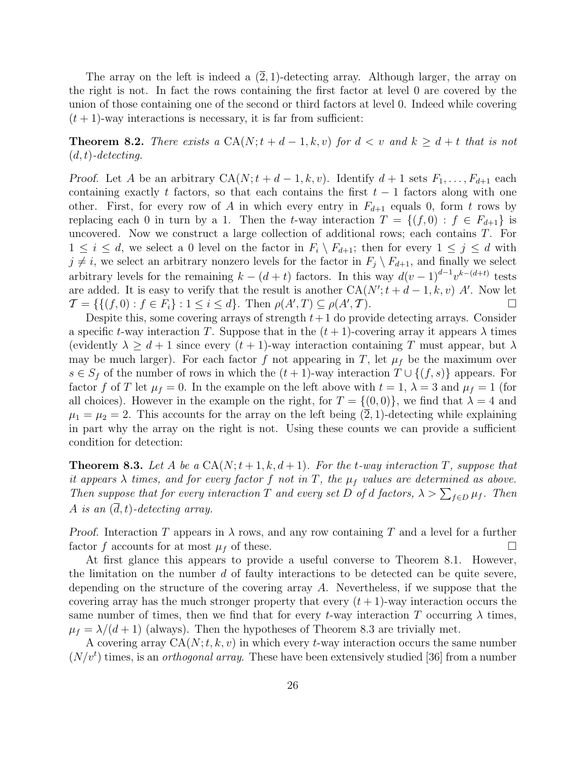The array on the left is indeed a  $(\overline{2},1)$ -detecting array. Although larger, the array on the right is not. In fact the rows containing the first factor at level 0 are covered by the union of those containing one of the second or third factors at level 0. Indeed while covering  $(t + 1)$ -way interactions is necessary, it is far from sufficient:

**Theorem 8.2.** There exists a  $CA(N; t + d - 1, k, v)$  for  $d < v$  and  $k \geq d + t$  that is not  $(d, t)$ -detecting.

Proof. Let A be an arbitrary  $CA(N; t + d - 1, k, v)$ . Identify  $d + 1$  sets  $F_1, \ldots, F_{d+1}$  each containing exactly t factors, so that each contains the first  $t - 1$  factors along with one other. First, for every row of A in which every entry in  $F_{d+1}$  equals 0, form t rows by replacing each 0 in turn by a 1. Then the t-way interaction  $T = \{(f, 0) : f \in F_{d+1}\}\$ is uncovered. Now we construct a large collection of additional rows; each contains T. For  $1 \leq i \leq d$ , we select a 0 level on the factor in  $F_i \setminus F_{d+1}$ ; then for every  $1 \leq j \leq d$  with  $j \neq i$ , we select an arbitrary nonzero levels for the factor in  $F_j \setminus F_{d+1}$ , and finally we select arbitrary levels for the remaining  $k - (d + t)$  factors. In this way  $d(v-1)^{d-1}v^{k-(d+t)}$  tests are added. It is easy to verify that the result is another  $CA(N'; t + d - 1, k, v)$  A'. Now let  $\mathcal{T} = \{ \{ (f, 0) : f \in F_i \} : 1 \leq i \leq d \}.$  Then  $\rho(A', T) \subseteq \rho(A', T)$ .

Despite this, some covering arrays of strength  $t+1$  do provide detecting arrays. Consider a specific t-way interaction T. Suppose that in the  $(t + 1)$ -covering array it appears  $\lambda$  times (evidently  $\lambda \geq d+1$  since every  $(t+1)$ -way interaction containing T must appear, but  $\lambda$ may be much larger). For each factor f not appearing in T, let  $\mu_f$  be the maximum over  $s \in S_f$  of the number of rows in which the  $(t + 1)$ -way interaction  $T \cup \{(f, s)\}\$ appears. For factor f of T let  $\mu_f = 0$ . In the example on the left above with  $t = 1$ ,  $\lambda = 3$  and  $\mu_f = 1$  (for all choices). However in the example on the right, for  $T = \{(0,0)\}\,$ , we find that  $\lambda = 4$  and  $\mu_1 = \mu_2 = 2$ . This accounts for the array on the left being  $(\overline{2}, 1)$ -detecting while explaining in part why the array on the right is not. Using these counts we can provide a sufficient condition for detection:

**Theorem 8.3.** Let A be a  $CA(N; t+1, k, d+1)$ . For the t-way interaction T, suppose that it appears  $\lambda$  times, and for every factor f not in T, the  $\mu_f$  values are determined as above. Then suppose that for every interaction T and every set D of d factors,  $\lambda > \sum_{f \in D} \mu_f$ . Then A is an  $(\overline{d}, t)$ -detecting array.

*Proof.* Interaction T appears in  $\lambda$  rows, and any row containing T and a level for a further factor f accounts for at most  $\mu_f$  of these.

At first glance this appears to provide a useful converse to Theorem 8.1. However, the limitation on the number  $d$  of faulty interactions to be detected can be quite severe, depending on the structure of the covering array A. Nevertheless, if we suppose that the covering array has the much stronger property that every  $(t + 1)$ -way interaction occurs the same number of times, then we find that for every t-way interaction T occurring  $\lambda$  times,  $\mu_f = \lambda/(d+1)$  (always). Then the hypotheses of Theorem 8.3 are trivially met.

A covering array  $CA(N; t, k, v)$  in which every t-way interaction occurs the same number  $(N/v<sup>t</sup>)$  times, is an *orthogonal array*. These have been extensively studied [36] from a number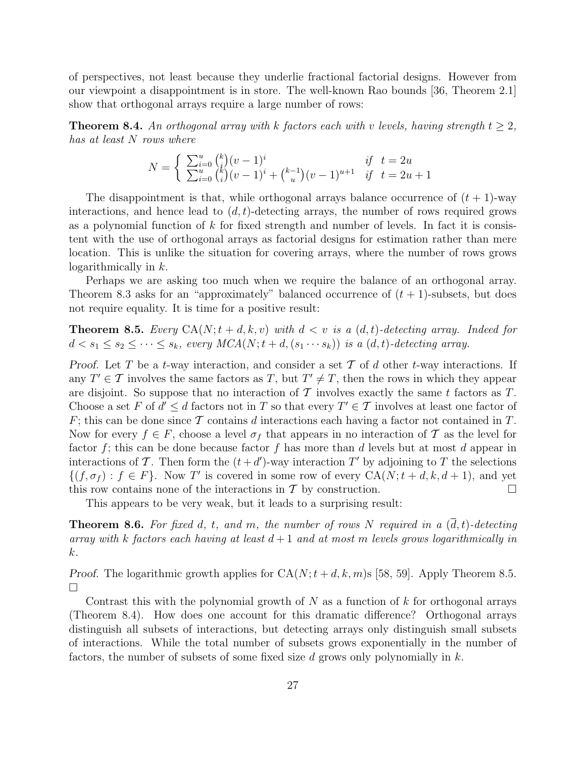of perspectives, not least because they underlie fractional factorial designs. However from our viewpoint a disappointment is in store. The well-known Rao bounds [36, Theorem 2.1] show that orthogonal arrays require a large number of rows:

**Theorem 8.4.** An orthogonal array with k factors each with v levels, having strength  $t > 2$ , has at least N rows where

$$
N = \begin{cases} \sum_{i=0}^{u} {k \choose i} (v-1)^i & \text{if } t = 2u \\ \sum_{i=0}^{u} {k \choose i} (v-1)^i + {k-1 \choose u} (v-1)^{u+1} & \text{if } t = 2u + 1 \end{cases}
$$

The disappointment is that, while orthogonal arrays balance occurrence of  $(t + 1)$ -way interactions, and hence lead to  $(d, t)$ -detecting arrays, the number of rows required grows as a polynomial function of  $k$  for fixed strength and number of levels. In fact it is consistent with the use of orthogonal arrays as factorial designs for estimation rather than mere location. This is unlike the situation for covering arrays, where the number of rows grows logarithmically in k.

Perhaps we are asking too much when we require the balance of an orthogonal array. Theorem 8.3 asks for an "approximately" balanced occurrence of  $(t + 1)$ -subsets, but does not require equality. It is time for a positive result:

**Theorem 8.5.** Every  $CA(N; t + d, k, v)$  with  $d < v$  is a  $(d, t)$ -detecting array. Indeed for  $d < s_1 \leq s_2 \leq \cdots \leq s_k$ , every  $MCA(N; t + d, (s_1 \cdots s_k))$  is a  $(d, t)$ -detecting array.

Proof. Let T be a t-way interaction, and consider a set T of d other t-way interactions. If any  $T' \in \mathcal{T}$  involves the same factors as T, but  $T' \neq T$ , then the rows in which they appear are disjoint. So suppose that no interaction of  $\mathcal T$  involves exactly the same t factors as  $T$ . Choose a set F of  $d' \leq d$  factors not in T so that every  $T' \in \mathcal{T}$  involves at least one factor of F; this can be done since  $\mathcal T$  contains d interactions each having a factor not contained in  $T$ . Now for every  $f \in F$ , choose a level  $\sigma_f$  that appears in no interaction of T as the level for factor f; this can be done because factor f has more than d levels but at most d appear in interactions of T. Then form the  $(t + d')$ -way interaction T' by adjoining to T the selections  $\{(f, \sigma_f) : f \in F\}$ . Now T' is covered in some row of every  $CA(N; t + d, k, d + 1)$ , and yet this row contains none of the interactions in  $\mathcal T$  by construction.

This appears to be very weak, but it leads to a surprising result:

**Theorem 8.6.** For fixed d, t, and m, the number of rows N required in a  $(\bar{d}, t)$ -detecting array with k factors each having at least  $d+1$  and at most m levels grows logarithmically in k.

*Proof.* The logarithmic growth applies for  $CA(N; t + d, k, m)$ s [58, 59]. Apply Theorem 8.5.  $\Box$ 

Contrast this with the polynomial growth of  $N$  as a function of  $k$  for orthogonal arrays (Theorem 8.4). How does one account for this dramatic difference? Orthogonal arrays distinguish all subsets of interactions, but detecting arrays only distinguish small subsets of interactions. While the total number of subsets grows exponentially in the number of factors, the number of subsets of some fixed size  $d$  grows only polynomially in  $k$ .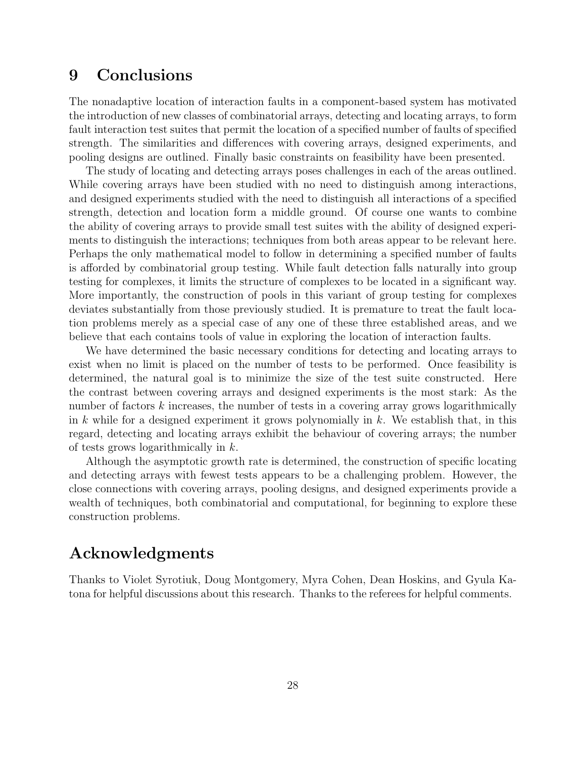# 9 Conclusions

The nonadaptive location of interaction faults in a component-based system has motivated the introduction of new classes of combinatorial arrays, detecting and locating arrays, to form fault interaction test suites that permit the location of a specified number of faults of specified strength. The similarities and differences with covering arrays, designed experiments, and pooling designs are outlined. Finally basic constraints on feasibility have been presented.

The study of locating and detecting arrays poses challenges in each of the areas outlined. While covering arrays have been studied with no need to distinguish among interactions, and designed experiments studied with the need to distinguish all interactions of a specified strength, detection and location form a middle ground. Of course one wants to combine the ability of covering arrays to provide small test suites with the ability of designed experiments to distinguish the interactions; techniques from both areas appear to be relevant here. Perhaps the only mathematical model to follow in determining a specified number of faults is afforded by combinatorial group testing. While fault detection falls naturally into group testing for complexes, it limits the structure of complexes to be located in a significant way. More importantly, the construction of pools in this variant of group testing for complexes deviates substantially from those previously studied. It is premature to treat the fault location problems merely as a special case of any one of these three established areas, and we believe that each contains tools of value in exploring the location of interaction faults.

We have determined the basic necessary conditions for detecting and locating arrays to exist when no limit is placed on the number of tests to be performed. Once feasibility is determined, the natural goal is to minimize the size of the test suite constructed. Here the contrast between covering arrays and designed experiments is the most stark: As the number of factors  $k$  increases, the number of tests in a covering array grows logarithmically in k while for a designed experiment it grows polynomially in k. We establish that, in this regard, detecting and locating arrays exhibit the behaviour of covering arrays; the number of tests grows logarithmically in k.

Although the asymptotic growth rate is determined, the construction of specific locating and detecting arrays with fewest tests appears to be a challenging problem. However, the close connections with covering arrays, pooling designs, and designed experiments provide a wealth of techniques, both combinatorial and computational, for beginning to explore these construction problems.

# Acknowledgments

Thanks to Violet Syrotiuk, Doug Montgomery, Myra Cohen, Dean Hoskins, and Gyula Katona for helpful discussions about this research. Thanks to the referees for helpful comments.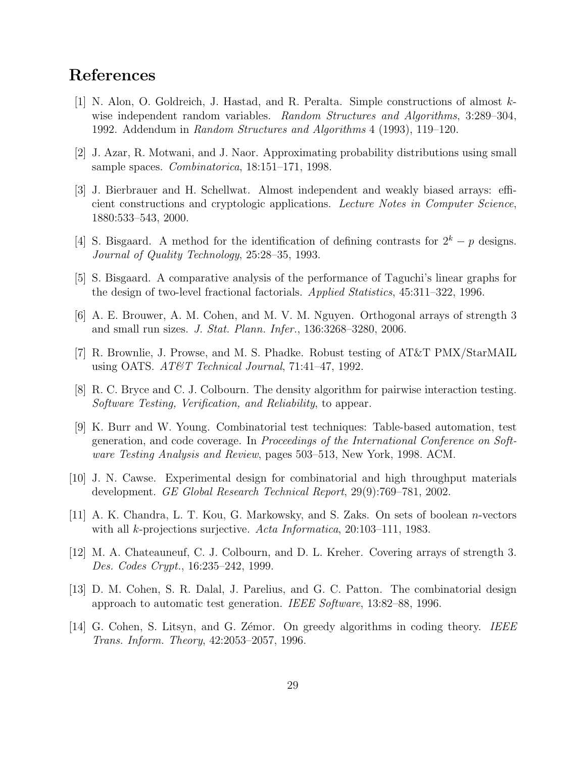# References

- [1] N. Alon, O. Goldreich, J. Hastad, and R. Peralta. Simple constructions of almost kwise independent random variables. Random Structures and Algorithms, 3:289–304, 1992. Addendum in Random Structures and Algorithms 4 (1993), 119–120.
- [2] J. Azar, R. Motwani, and J. Naor. Approximating probability distributions using small sample spaces. *Combinatorica*, 18:151–171, 1998.
- [3] J. Bierbrauer and H. Schellwat. Almost independent and weakly biased arrays: efficient constructions and cryptologic applications. Lecture Notes in Computer Science, 1880:533–543, 2000.
- [4] S. Bisgaard. A method for the identification of defining contrasts for  $2^k p$  designs. Journal of Quality Technology, 25:28–35, 1993.
- [5] S. Bisgaard. A comparative analysis of the performance of Taguchi's linear graphs for the design of two-level fractional factorials. Applied Statistics, 45:311–322, 1996.
- [6] A. E. Brouwer, A. M. Cohen, and M. V. M. Nguyen. Orthogonal arrays of strength 3 and small run sizes. J. Stat. Plann. Infer., 136:3268–3280, 2006.
- [7] R. Brownlie, J. Prowse, and M. S. Phadke. Robust testing of AT&T PMX/StarMAIL using OATS.  $AT\&T$  Technical Journal, 71:41–47, 1992.
- [8] R. C. Bryce and C. J. Colbourn. The density algorithm for pairwise interaction testing. Software Testing, Verification, and Reliability, to appear.
- [9] K. Burr and W. Young. Combinatorial test techniques: Table-based automation, test generation, and code coverage. In Proceedings of the International Conference on Software Testing Analysis and Review, pages 503–513, New York, 1998. ACM.
- [10] J. N. Cawse. Experimental design for combinatorial and high throughput materials development. GE Global Research Technical Report, 29(9):769–781, 2002.
- [11] A. K. Chandra, L. T. Kou, G. Markowsky, and S. Zaks. On sets of boolean n-vectors with all *k*-projections surjective. Acta Informatica, 20:103-111, 1983.
- [12] M. A. Chateauneuf, C. J. Colbourn, and D. L. Kreher. Covering arrays of strength 3. Des. Codes Crypt., 16:235–242, 1999.
- [13] D. M. Cohen, S. R. Dalal, J. Parelius, and G. C. Patton. The combinatorial design approach to automatic test generation. IEEE Software, 13:82–88, 1996.
- [14] G. Cohen, S. Litsyn, and G. Zémor. On greedy algorithms in coding theory. IEEE Trans. Inform. Theory, 42:2053–2057, 1996.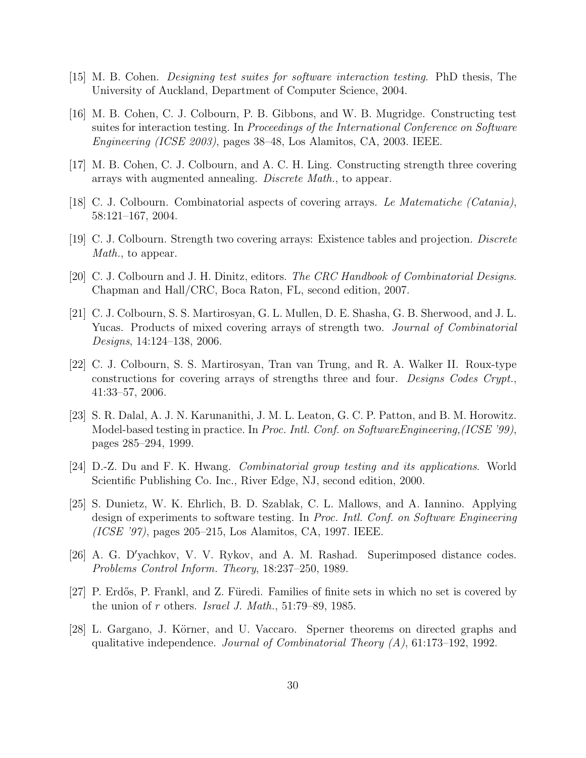- [15] M. B. Cohen. Designing test suites for software interaction testing. PhD thesis, The University of Auckland, Department of Computer Science, 2004.
- [16] M. B. Cohen, C. J. Colbourn, P. B. Gibbons, and W. B. Mugridge. Constructing test suites for interaction testing. In *Proceedings of the International Conference on Software* Engineering (ICSE 2003), pages 38–48, Los Alamitos, CA, 2003. IEEE.
- [17] M. B. Cohen, C. J. Colbourn, and A. C. H. Ling. Constructing strength three covering arrays with augmented annealing. Discrete Math., to appear.
- [18] C. J. Colbourn. Combinatorial aspects of covering arrays. Le Matematiche (Catania), 58:121–167, 2004.
- [19] C. J. Colbourn. Strength two covering arrays: Existence tables and projection. Discrete Math., to appear.
- [20] C. J. Colbourn and J. H. Dinitz, editors. The CRC Handbook of Combinatorial Designs. Chapman and Hall/CRC, Boca Raton, FL, second edition, 2007.
- [21] C. J. Colbourn, S. S. Martirosyan, G. L. Mullen, D. E. Shasha, G. B. Sherwood, and J. L. Yucas. Products of mixed covering arrays of strength two. *Journal of Combinatorial* Designs, 14:124–138, 2006.
- [22] C. J. Colbourn, S. S. Martirosyan, Tran van Trung, and R. A. Walker II. Roux-type constructions for covering arrays of strengths three and four. Designs Codes Crypt., 41:33–57, 2006.
- [23] S. R. Dalal, A. J. N. Karunanithi, J. M. L. Leaton, G. C. P. Patton, and B. M. Horowitz. Model-based testing in practice. In *Proc. Intl. Conf. on SoftwareEngineering,(ICSE '99)*, pages 285–294, 1999.
- [24] D.-Z. Du and F. K. Hwang. Combinatorial group testing and its applications. World Scientific Publishing Co. Inc., River Edge, NJ, second edition, 2000.
- [25] S. Dunietz, W. K. Ehrlich, B. D. Szablak, C. L. Mallows, and A. Iannino. Applying design of experiments to software testing. In *Proc. Intl. Conf. on Software Engineering* (ICSE '97), pages 205–215, Los Alamitos, CA, 1997. IEEE.
- [26] A. G. D'yachkov, V. V. Rykov, and A. M. Rashad. Superimposed distance codes. Problems Control Inform. Theory, 18:237–250, 1989.
- [27] P. Erdős, P. Frankl, and Z. Füredi. Families of finite sets in which no set is covered by the union of r others. Israel J. Math.,  $51:79-89$ , 1985.
- [28] L. Gargano, J. Körner, and U. Vaccaro. Sperner theorems on directed graphs and qualitative independence. Journal of Combinatorial Theory  $(A)$ , 61:173–192, 1992.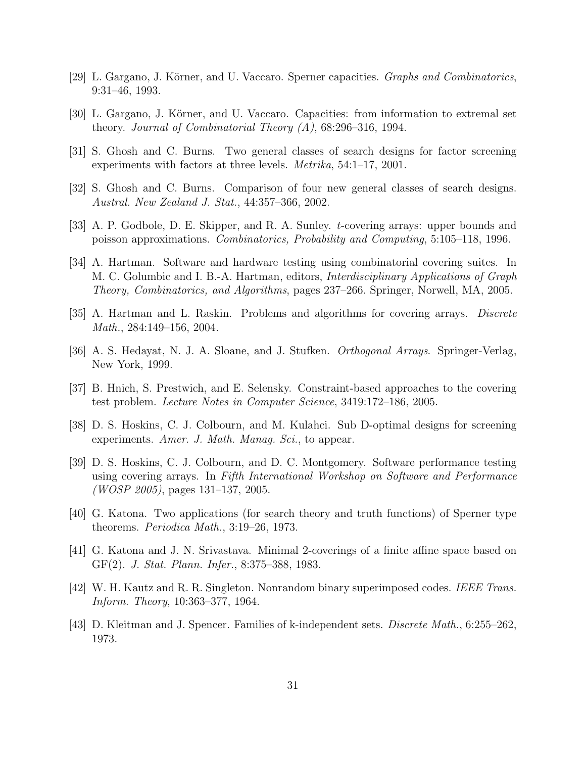- [29] L. Gargano, J. Körner, and U. Vaccaro. Sperner capacities. *Graphs and Combinatorics*, 9:31–46, 1993.
- [30] L. Gargano, J. Körner, and U. Vaccaro. Capacities: from information to extremal set theory. Journal of Combinatorial Theory  $(A)$ , 68:296–316, 1994.
- [31] S. Ghosh and C. Burns. Two general classes of search designs for factor screening experiments with factors at three levels. Metrika, 54:1–17, 2001.
- [32] S. Ghosh and C. Burns. Comparison of four new general classes of search designs. Austral. New Zealand J. Stat., 44:357–366, 2002.
- [33] A. P. Godbole, D. E. Skipper, and R. A. Sunley. t-covering arrays: upper bounds and poisson approximations. Combinatorics, Probability and Computing, 5:105–118, 1996.
- [34] A. Hartman. Software and hardware testing using combinatorial covering suites. In M. C. Golumbic and I. B.-A. Hartman, editors, Interdisciplinary Applications of Graph Theory, Combinatorics, and Algorithms, pages 237–266. Springer, Norwell, MA, 2005.
- [35] A. Hartman and L. Raskin. Problems and algorithms for covering arrays. Discrete Math., 284:149–156, 2004.
- [36] A. S. Hedayat, N. J. A. Sloane, and J. Stufken. Orthogonal Arrays. Springer-Verlag, New York, 1999.
- [37] B. Hnich, S. Prestwich, and E. Selensky. Constraint-based approaches to the covering test problem. Lecture Notes in Computer Science, 3419:172–186, 2005.
- [38] D. S. Hoskins, C. J. Colbourn, and M. Kulahci. Sub D-optimal designs for screening experiments. Amer. J. Math. Manag. Sci., to appear.
- [39] D. S. Hoskins, C. J. Colbourn, and D. C. Montgomery. Software performance testing using covering arrays. In Fifth International Workshop on Software and Performance (WOSP 2005), pages 131–137, 2005.
- [40] G. Katona. Two applications (for search theory and truth functions) of Sperner type theorems. Periodica Math., 3:19–26, 1973.
- [41] G. Katona and J. N. Srivastava. Minimal 2-coverings of a finite affine space based on GF(2). J. Stat. Plann. Infer., 8:375–388, 1983.
- [42] W. H. Kautz and R. R. Singleton. Nonrandom binary superimposed codes. IEEE Trans. Inform. Theory, 10:363–377, 1964.
- [43] D. Kleitman and J. Spencer. Families of k-independent sets. Discrete Math., 6:255–262, 1973.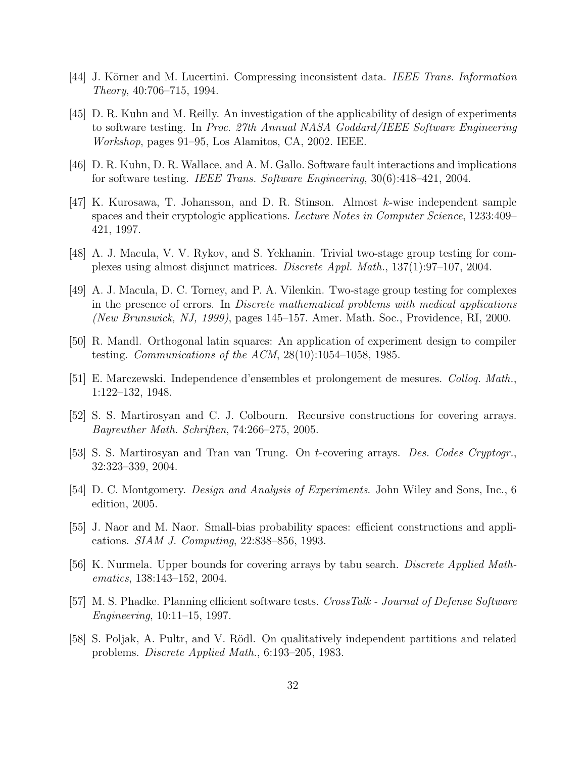- [44] J. Körner and M. Lucertini. Compressing inconsistent data. IEEE Trans. Information Theory, 40:706–715, 1994.
- [45] D. R. Kuhn and M. Reilly. An investigation of the applicability of design of experiments to software testing. In Proc. 27th Annual NASA Goddard/IEEE Software Engineering Workshop, pages 91–95, Los Alamitos, CA, 2002. IEEE.
- [46] D. R. Kuhn, D. R. Wallace, and A. M. Gallo. Software fault interactions and implications for software testing. IEEE Trans. Software Engineering, 30(6):418–421, 2004.
- [47] K. Kurosawa, T. Johansson, and D. R. Stinson. Almost k-wise independent sample spaces and their cryptologic applications. Lecture Notes in Computer Science, 1233:409– 421, 1997.
- [48] A. J. Macula, V. V. Rykov, and S. Yekhanin. Trivial two-stage group testing for complexes using almost disjunct matrices. Discrete Appl. Math., 137(1):97–107, 2004.
- [49] A. J. Macula, D. C. Torney, and P. A. Vilenkin. Two-stage group testing for complexes in the presence of errors. In Discrete mathematical problems with medical applications (New Brunswick, NJ, 1999), pages 145–157. Amer. Math. Soc., Providence, RI, 2000.
- [50] R. Mandl. Orthogonal latin squares: An application of experiment design to compiler testing. *Communications of the ACM*,  $28(10):1054-1058$ , 1985.
- [51] E. Marczewski. Independence d'ensembles et prolongement de mesures. Colloq. Math., 1:122–132, 1948.
- [52] S. S. Martirosyan and C. J. Colbourn. Recursive constructions for covering arrays. Bayreuther Math. Schriften, 74:266–275, 2005.
- [53] S. S. Martirosyan and Tran van Trung. On t-covering arrays. Des. Codes Cryptogr., 32:323–339, 2004.
- [54] D. C. Montgomery. Design and Analysis of Experiments. John Wiley and Sons, Inc., 6 edition, 2005.
- [55] J. Naor and M. Naor. Small-bias probability spaces: efficient constructions and applications. SIAM J. Computing, 22:838–856, 1993.
- [56] K. Nurmela. Upper bounds for covering arrays by tabu search. Discrete Applied Mathematics, 138:143–152, 2004.
- [57] M. S. Phadke. Planning efficient software tests. CrossTalk Journal of Defense Software Engineering, 10:11–15, 1997.
- [58] S. Poljak, A. Pultr, and V. Rödl. On qualitatively independent partitions and related problems. Discrete Applied Math., 6:193–205, 1983.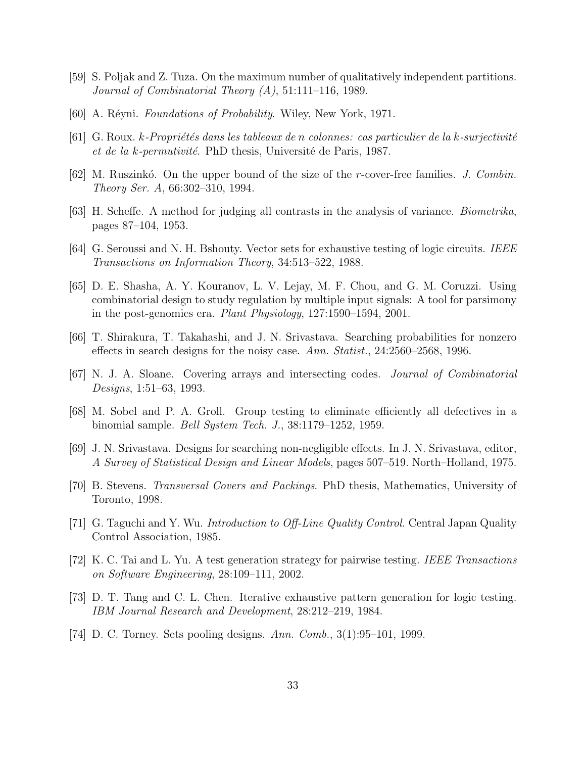- [59] S. Poljak and Z. Tuza. On the maximum number of qualitatively independent partitions. Journal of Combinatorial Theory  $(A)$ , 51:111–116, 1989.
- [60] A. Réyni. *Foundations of Probability*. Wiley, New York, 1971.
- [61] G. Roux. k-Propriétés dans les tableaux de n colonnes: cas particulier de la k-surjectivité et de la k-permutivité. PhD thesis, Université de Paris, 1987.
- [62] M. Ruszinkó. On the upper bound of the size of the r-cover-free families. J. Combin. Theory Ser. A, 66:302–310, 1994.
- [63] H. Scheffe. A method for judging all contrasts in the analysis of variance. Biometrika, pages 87–104, 1953.
- [64] G. Seroussi and N. H. Bshouty. Vector sets for exhaustive testing of logic circuits. IEEE Transactions on Information Theory, 34:513–522, 1988.
- [65] D. E. Shasha, A. Y. Kouranov, L. V. Lejay, M. F. Chou, and G. M. Coruzzi. Using combinatorial design to study regulation by multiple input signals: A tool for parsimony in the post-genomics era. Plant Physiology, 127:1590–1594, 2001.
- [66] T. Shirakura, T. Takahashi, and J. N. Srivastava. Searching probabilities for nonzero effects in search designs for the noisy case. Ann. Statist., 24:2560–2568, 1996.
- [67] N. J. A. Sloane. Covering arrays and intersecting codes. Journal of Combinatorial Designs, 1:51–63, 1993.
- [68] M. Sobel and P. A. Groll. Group testing to eliminate efficiently all defectives in a binomial sample. Bell System Tech. J., 38:1179–1252, 1959.
- [69] J. N. Srivastava. Designs for searching non-negligible effects. In J. N. Srivastava, editor, A Survey of Statistical Design and Linear Models, pages 507–519. North–Holland, 1975.
- [70] B. Stevens. Transversal Covers and Packings. PhD thesis, Mathematics, University of Toronto, 1998.
- [71] G. Taguchi and Y. Wu. Introduction to Off-Line Quality Control. Central Japan Quality Control Association, 1985.
- [72] K. C. Tai and L. Yu. A test generation strategy for pairwise testing. IEEE Transactions on Software Engineering, 28:109–111, 2002.
- [73] D. T. Tang and C. L. Chen. Iterative exhaustive pattern generation for logic testing. IBM Journal Research and Development, 28:212–219, 1984.
- [74] D. C. Torney. Sets pooling designs. Ann. Comb., 3(1):95–101, 1999.